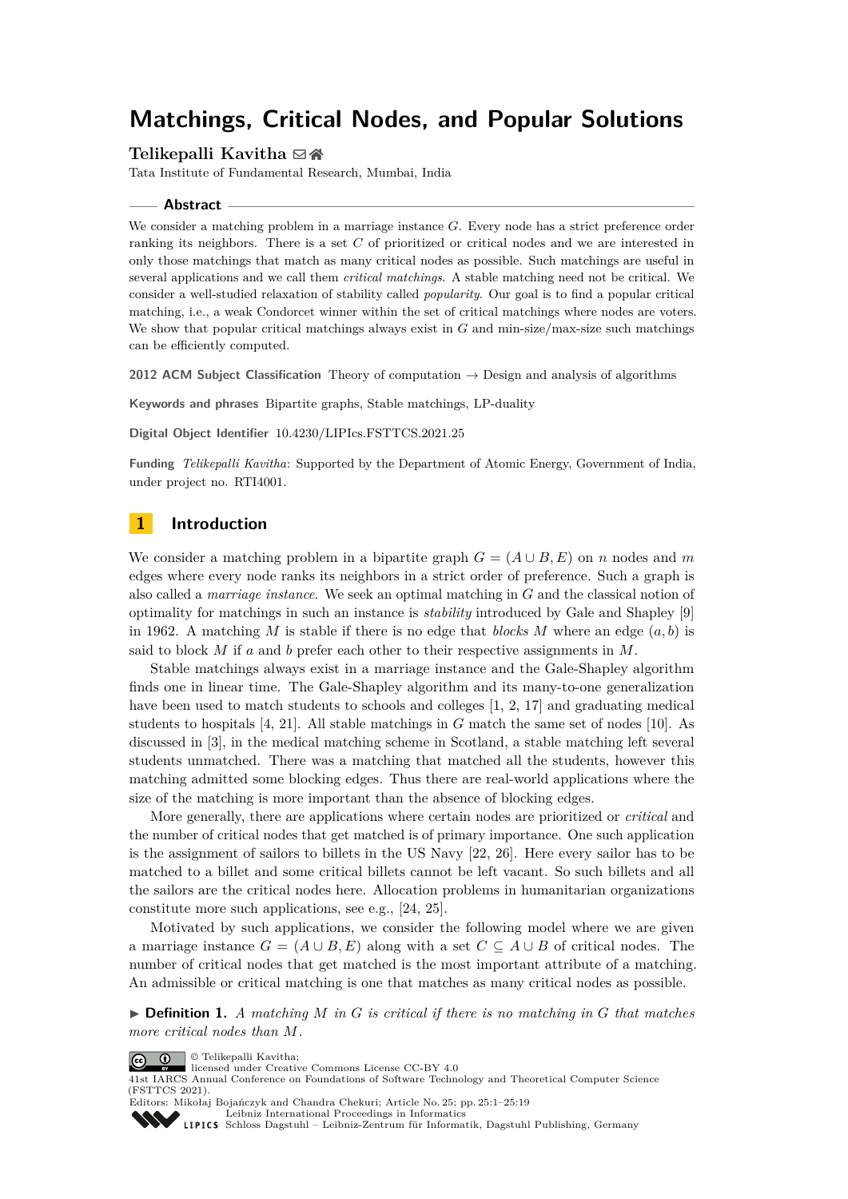# **Matchings, Critical Nodes, and Popular Solutions**

## **Telikepalli Kavitha** ⊠ n

Tata Institute of Fundamental Research, Mumbai, India

#### **Abstract**

We consider a matching problem in a marriage instance *G*. Every node has a strict preference order ranking its neighbors. There is a set *C* of prioritized or critical nodes and we are interested in only those matchings that match as many critical nodes as possible. Such matchings are useful in several applications and we call them *critical matchings*. A stable matching need not be critical. We consider a well-studied relaxation of stability called *popularity*. Our goal is to find a popular critical matching, i.e., a weak Condorcet winner within the set of critical matchings where nodes are voters. We show that popular critical matchings always exist in *G* and min-size/max-size such matchings can be efficiently computed.

**2012 ACM Subject Classification** Theory of computation → Design and analysis of algorithms

**Keywords and phrases** Bipartite graphs, Stable matchings, LP-duality

**Digital Object Identifier** [10.4230/LIPIcs.FSTTCS.2021.25](https://doi.org/10.4230/LIPIcs.FSTTCS.2021.25)

**Funding** *Telikepalli Kavitha*: Supported by the Department of Atomic Energy, Government of India, under project no. RTI4001.

# **1 Introduction**

We consider a matching problem in a bipartite graph  $G = (A \cup B, E)$  on *n* nodes and *m* edges where every node ranks its neighbors in a strict order of preference. Such a graph is also called a *marriage instance*. We seek an optimal matching in *G* and the classical notion of optimality for matchings in such an instance is *stability* introduced by Gale and Shapley [\[9\]](#page-15-0) in 1962. A matching *M* is stable if there is no edge that *blocks M* where an edge  $(a, b)$  is said to block *M* if *a* and *b* prefer each other to their respective assignments in *M*.

Stable matchings always exist in a marriage instance and the Gale-Shapley algorithm finds one in linear time. The Gale-Shapley algorithm and its many-to-one generalization have been used to match students to schools and colleges [\[1,](#page-15-1) [2,](#page-15-2) [17\]](#page-16-0) and graduating medical students to hospitals [\[4,](#page-15-3) [21\]](#page-16-1). All stable matchings in *G* match the same set of nodes [\[10\]](#page-15-4). As discussed in [\[3\]](#page-15-5), in the medical matching scheme in Scotland, a stable matching left several students unmatched. There was a matching that matched all the students, however this matching admitted some blocking edges. Thus there are real-world applications where the size of the matching is more important than the absence of blocking edges.

More generally, there are applications where certain nodes are prioritized or *critical* and the number of critical nodes that get matched is of primary importance. One such application is the assignment of sailors to billets in the US Navy [\[22,](#page-16-2) [26\]](#page-16-3). Here every sailor has to be matched to a billet and some critical billets cannot be left vacant. So such billets and all the sailors are the critical nodes here. Allocation problems in humanitarian organizations constitute more such applications, see e.g., [\[24,](#page-16-4) [25\]](#page-16-5).

Motivated by such applications, we consider the following model where we are given a marriage instance  $G = (A \cup B, E)$  along with a set  $C \subseteq A \cup B$  of critical nodes. The number of critical nodes that get matched is the most important attribute of a matching. An admissible or critical matching is one that matches as many critical nodes as possible.

 $\blacktriangleright$  **Definition 1.** A matching M in G is critical if there is no matching in G that matches *more critical nodes than M.*

© Telikepalli Kavitha;  $\boxed{6}$  0



41st IARCS Annual Conference on Foundations of Software Technology and Theoretical Computer Science (FSTTCS 2021). Editors: Mikołaj Bojańczyk and Chandra Chekuri; Article No. 25; pp. 25:1–25:19

[Leibniz International Proceedings in Informatics](https://www.dagstuhl.de/lipics/)

[Schloss Dagstuhl – Leibniz-Zentrum für Informatik, Dagstuhl Publishing, Germany](https://www.dagstuhl.de)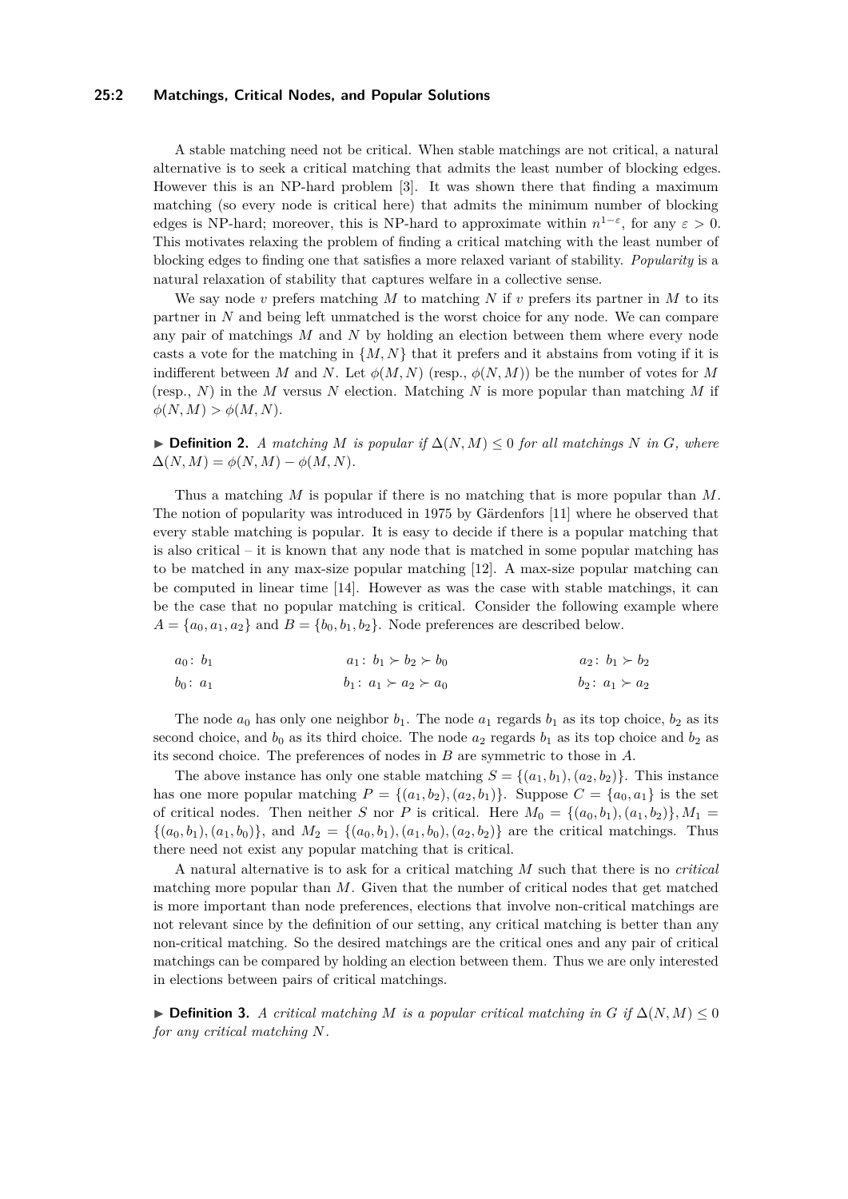#### **25:2 Matchings, Critical Nodes, and Popular Solutions**

A stable matching need not be critical. When stable matchings are not critical, a natural alternative is to seek a critical matching that admits the least number of blocking edges. However this is an NP-hard problem [\[3\]](#page-15-5). It was shown there that finding a maximum matching (so every node is critical here) that admits the minimum number of blocking edges is NP-hard; moreover, this is NP-hard to approximate within  $n^{1-\epsilon}$ , for any  $\varepsilon > 0$ . This motivates relaxing the problem of finding a critical matching with the least number of blocking edges to finding one that satisfies a more relaxed variant of stability. *Popularity* is a natural relaxation of stability that captures welfare in a collective sense.

We say node *v* prefers matching *M* to matching *N* if *v* prefers its partner in *M* to its partner in *N* and being left unmatched is the worst choice for any node. We can compare any pair of matchings *M* and *N* by holding an election between them where every node casts a vote for the matching in  $\{M, N\}$  that it prefers and it abstains from voting if it is indifferent between *M* and *N*. Let  $\phi(M, N)$  (resp.,  $\phi(N, M)$ ) be the number of votes for *M* (resp., *N*) in the *M* versus *N* election. Matching *N* is more popular than matching *M* if  $\phi(N, M) > \phi(M, N).$ 

▶ **Definition 2.** *A matching M is popular if*  $\Delta(N, M) \leq 0$  *for all matchings N in G, where*  $\Delta(N, M) = \phi(N, M) - \phi(M, N).$ 

Thus a matching *M* is popular if there is no matching that is more popular than *M*. The notion of popularity was introduced in 1975 by Gärdenfors [\[11\]](#page-15-6) where he observed that every stable matching is popular. It is easy to decide if there is a popular matching that is also critical – it is known that any node that is matched in some popular matching has to be matched in any max-size popular matching [\[12\]](#page-15-7). A max-size popular matching can be computed in linear time [\[14\]](#page-15-8). However as was the case with stable matchings, it can be the case that no popular matching is critical. Consider the following example where  $A = \{a_0, a_1, a_2\}$  and  $B = \{b_0, b_1, b_2\}$ . Node preferences are described below.

$$
a_0: b_1
$$
  $a_1: b_1 \succ b_2 \succ b_0$   $a_2: b_1 \succ b_2$   
 $b_0: a_1$   $b_1: a_1 \succ a_2 \succ a_0$   $b_2: a_1 \succ a_2$ 

The node  $a_0$  has only one neighbor  $b_1$ . The node  $a_1$  regards  $b_1$  as its top choice,  $b_2$  as its second choice, and  $b_0$  as its third choice. The node  $a_2$  regards  $b_1$  as its top choice and  $b_2$  as its second choice. The preferences of nodes in *B* are symmetric to those in *A*.

The above instance has only one stable matching  $S = \{(a_1, b_1), (a_2, b_2)\}\.$  This instance has one more popular matching  $P = \{(a_1, b_2), (a_2, b_1)\}\$ . Suppose  $C = \{a_0, a_1\}$  is the set of critical nodes. Then neither *S* nor *P* is critical. Here  $M_0 = \{(a_0, b_1), (a_1, b_2)\}, M_1 =$  $\{(a_0, b_1), (a_1, b_0)\}\$ , and  $M_2 = \{(a_0, b_1), (a_1, b_0), (a_2, b_2)\}\$ are the critical matchings. Thus there need not exist any popular matching that is critical.

A natural alternative is to ask for a critical matching *M* such that there is no *critical* matching more popular than *M*. Given that the number of critical nodes that get matched is more important than node preferences, elections that involve non-critical matchings are not relevant since by the definition of our setting, any critical matching is better than any non-critical matching. So the desired matchings are the critical ones and any pair of critical matchings can be compared by holding an election between them. Thus we are only interested in elections between pairs of critical matchings.

▶ **Definition 3.** *A critical matching M is a popular critical matching in G if*  $\Delta(N, M) \leq 0$ *for any critical matching N.*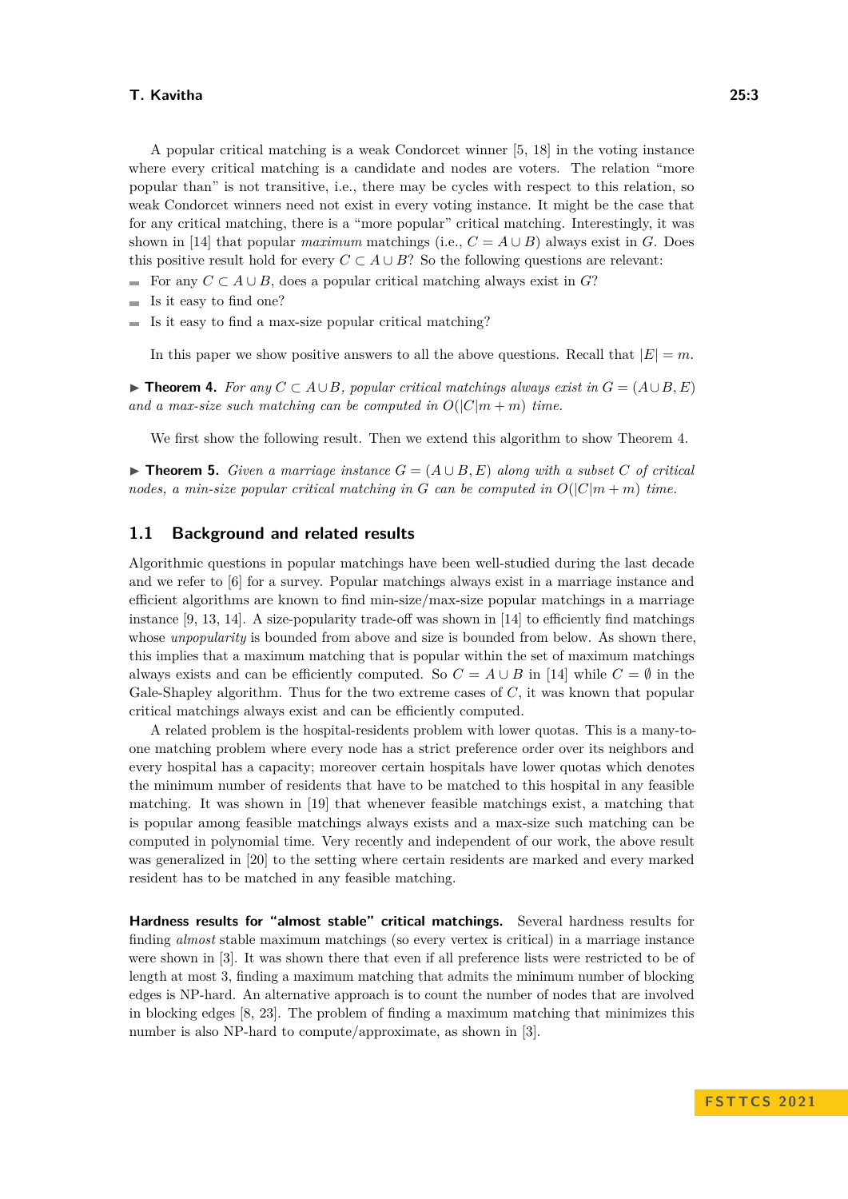A popular critical matching is a weak Condorcet winner [\[5,](#page-15-9) [18\]](#page-16-6) in the voting instance where every critical matching is a candidate and nodes are voters. The relation "more popular than" is not transitive, i.e., there may be cycles with respect to this relation, so weak Condorcet winners need not exist in every voting instance. It might be the case that for any critical matching, there is a "more popular" critical matching. Interestingly, it was shown in [\[14\]](#page-15-8) that popular *maximum* matchings (i.e.,  $C = A \cup B$ ) always exist in *G*. Does this positive result hold for every  $C \subset A \cup B$ ? So the following questions are relevant:

- For any  $C \subset A \cup B$ , does a popular critical matching always exist in  $G$ ?
- Is it easy to find one?
- $\blacksquare$  Is it easy to find a max-size popular critical matching?

In this paper we show positive answers to all the above questions. Recall that  $|E| = m$ .

<span id="page-2-0"></span>▶ **Theorem 4.** For any  $C \subset A \cup B$ , popular critical matchings always exist in  $G = (A \cup B, E)$ and a max-size such matching can be computed in  $O(|C|m + m)$  time.

We first show the following result. Then we extend this algorithm to show Theorem [4.](#page-2-0)

<span id="page-2-1"></span>▶ **Theorem 5.** *Given a marriage instance*  $G = (A \cup B, E)$  *along with a subset*  $C$  *of critical nodes, a min-size popular critical matching in G can be computed in*  $O(|C|m + m)$  *time.* 

## **1.1 Background and related results**

Algorithmic questions in popular matchings have been well-studied during the last decade and we refer to [\[6\]](#page-15-10) for a survey. Popular matchings always exist in a marriage instance and efficient algorithms are known to find min-size/max-size popular matchings in a marriage instance [\[9,](#page-15-0) [13,](#page-15-11) [14\]](#page-15-8). A size-popularity trade-off was shown in [\[14\]](#page-15-8) to efficiently find matchings whose *unpopularity* is bounded from above and size is bounded from below. As shown there, this implies that a maximum matching that is popular within the set of maximum matchings always exists and can be efficiently computed. So  $C = A \cup B$  in [\[14\]](#page-15-8) while  $C = \emptyset$  in the Gale-Shapley algorithm. Thus for the two extreme cases of *C*, it was known that popular critical matchings always exist and can be efficiently computed.

A related problem is the hospital-residents problem with lower quotas. This is a many-toone matching problem where every node has a strict preference order over its neighbors and every hospital has a capacity; moreover certain hospitals have lower quotas which denotes the minimum number of residents that have to be matched to this hospital in any feasible matching. It was shown in [\[19\]](#page-16-7) that whenever feasible matchings exist, a matching that is popular among feasible matchings always exists and a max-size such matching can be computed in polynomial time. Very recently and independent of our work, the above result was generalized in [\[20\]](#page-16-8) to the setting where certain residents are marked and every marked resident has to be matched in any feasible matching.

**Hardness results for "almost stable" critical matchings.** Several hardness results for finding *almost* stable maximum matchings (so every vertex is critical) in a marriage instance were shown in [\[3\]](#page-15-5). It was shown there that even if all preference lists were restricted to be of length at most 3, finding a maximum matching that admits the minimum number of blocking edges is NP-hard. An alternative approach is to count the number of nodes that are involved in blocking edges [\[8,](#page-15-12) [23\]](#page-16-9). The problem of finding a maximum matching that minimizes this number is also NP-hard to compute/approximate, as shown in [\[3\]](#page-15-5).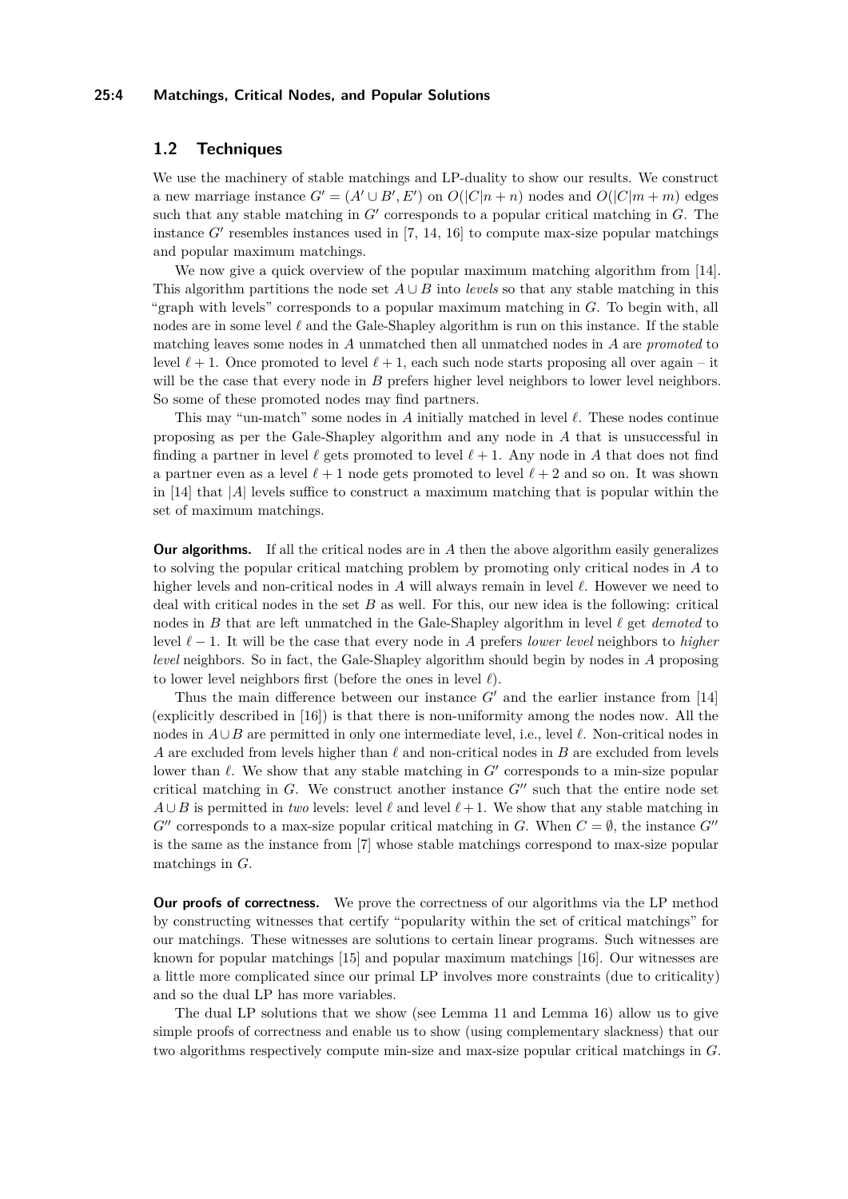#### **25:4 Matchings, Critical Nodes, and Popular Solutions**

# <span id="page-3-0"></span>**1.2 Techniques**

We use the machinery of stable matchings and LP-duality to show our results. We construct a new marriage instance  $G' = (A' \cup B', E')$  on  $O(|C|n + n)$  nodes and  $O(|C|m + m)$  edges such that any stable matching in *G*′ corresponds to a popular critical matching in *G*. The instance  $G'$  resembles instances used in  $[7, 14, 16]$  $[7, 14, 16]$  $[7, 14, 16]$  $[7, 14, 16]$  $[7, 14, 16]$  to compute max-size popular matchings and popular maximum matchings.

We now give a quick overview of the popular maximum matching algorithm from [\[14\]](#page-15-8). This algorithm partitions the node set  $A \cup B$  into *levels* so that any stable matching in this "graph with levels" corresponds to a popular maximum matching in *G*. To begin with, all nodes are in some level *ℓ* and the Gale-Shapley algorithm is run on this instance. If the stable matching leaves some nodes in *A* unmatched then all unmatched nodes in *A* are *promoted* to level  $\ell + 1$ . Once promoted to level  $\ell + 1$ , each such node starts proposing all over again – it will be the case that every node in *B* prefers higher level neighbors to lower level neighbors. So some of these promoted nodes may find partners.

This may "un-match" some nodes in *A* initially matched in level *ℓ*. These nodes continue proposing as per the Gale-Shapley algorithm and any node in *A* that is unsuccessful in finding a partner in level  $\ell$  gets promoted to level  $\ell + 1$ . Any node in A that does not find a partner even as a level  $\ell + 1$  node gets promoted to level  $\ell + 2$  and so on. It was shown in [\[14\]](#page-15-8) that |*A*| levels suffice to construct a maximum matching that is popular within the set of maximum matchings.

**Our algorithms.** If all the critical nodes are in A then the above algorithm easily generalizes to solving the popular critical matching problem by promoting only critical nodes in *A* to higher levels and non-critical nodes in *A* will always remain in level *ℓ*. However we need to deal with critical nodes in the set *B* as well. For this, our new idea is the following: critical nodes in *B* that are left unmatched in the Gale-Shapley algorithm in level *ℓ* get *demoted* to level *ℓ* − 1. It will be the case that every node in *A* prefers *lower level* neighbors to *higher level* neighbors. So in fact, the Gale-Shapley algorithm should begin by nodes in *A* proposing to lower level neighbors first (before the ones in level *ℓ*).

Thus the main difference between our instance *G*′ and the earlier instance from [\[14\]](#page-15-8) (explicitly described in [\[16\]](#page-16-10)) is that there is non-uniformity among the nodes now. All the nodes in *A*∪*B* are permitted in only one intermediate level, i.e., level *ℓ*. Non-critical nodes in *A* are excluded from levels higher than *ℓ* and non-critical nodes in *B* are excluded from levels lower than  $\ell$ . We show that any stable matching in *G'* corresponds to a min-size popular critical matching in  $G$ . We construct another instance  $G''$  such that the entire node set  $A \cup B$  is permitted in *two* levels: level  $\ell$  and level  $\ell + 1$ . We show that any stable matching in  $G''$  corresponds to a max-size popular critical matching in *G*. When  $C = \emptyset$ , the instance  $G''$ is the same as the instance from [\[7\]](#page-15-13) whose stable matchings correspond to max-size popular matchings in *G*.

**Our proofs of correctness.** We prove the correctness of our algorithms via the LP method by constructing witnesses that certify "popularity within the set of critical matchings" for our matchings. These witnesses are solutions to certain linear programs. Such witnesses are known for popular matchings [\[15\]](#page-15-14) and popular maximum matchings [\[16\]](#page-16-10). Our witnesses are a little more complicated since our primal LP involves more constraints (due to criticality) and so the dual LP has more variables.

The dual LP solutions that we show (see Lemma [11](#page-8-0) and Lemma [16\)](#page-13-0) allow us to give simple proofs of correctness and enable us to show (using complementary slackness) that our two algorithms respectively compute min-size and max-size popular critical matchings in *G*.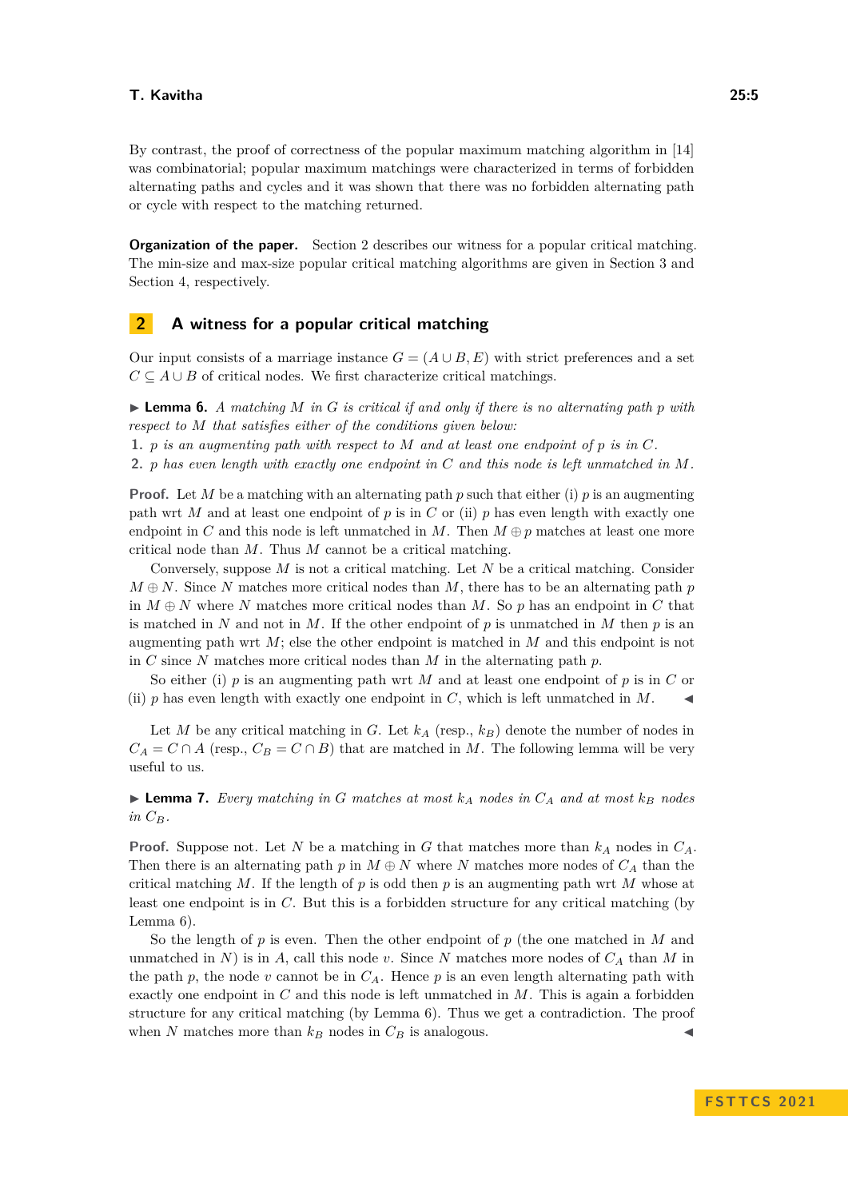By contrast, the proof of correctness of the popular maximum matching algorithm in [\[14\]](#page-15-8) was combinatorial; popular maximum matchings were characterized in terms of forbidden alternating paths and cycles and it was shown that there was no forbidden alternating path or cycle with respect to the matching returned.

**Organization of the paper.** Section [2](#page-4-0) describes our witness for a popular critical matching. The min-size and max-size popular critical matching algorithms are given in Section [3](#page-6-0) and Section [4,](#page-10-0) respectively.

# <span id="page-4-0"></span>**2 A witness for a popular critical matching**

Our input consists of a marriage instance  $G = (A \cup B, E)$  with strict preferences and a set  $C \subseteq A \cup B$  of critical nodes. We first characterize critical matchings.

<span id="page-4-1"></span> $\blacktriangleright$  **Lemma 6.** *A matching M in G is critical if and only if there is no alternating path p with respect to M that satisfies either of the conditions given below:*

**1.** *p is an augmenting path with respect to M and at least one endpoint of p is in C.*

**2.** *p has even length with exactly one endpoint in C and this node is left unmatched in M.*

**Proof.** Let *M* be a matching with an alternating path *p* such that either (i) *p* is an augmenting path wrt *M* and at least one endpoint of *p* is in *C* or (ii) *p* has even length with exactly one endpoint in *C* and this node is left unmatched in *M*. Then  $M \oplus p$  matches at least one more critical node than *M*. Thus *M* cannot be a critical matching.

Conversely, suppose *M* is not a critical matching. Let *N* be a critical matching. Consider  $M \oplus N$ . Since *N* matches more critical nodes than *M*, there has to be an alternating path *p* in  $M \oplus N$  where *N* matches more critical nodes than *M*. So *p* has an endpoint in *C* that is matched in N and not in M. If the other endpoint of p is unmatched in M then  $p$  is an augmenting path wrt *M*; else the other endpoint is matched in *M* and this endpoint is not in *C* since *N* matches more critical nodes than *M* in the alternating path *p*.

So either (i) *p* is an augmenting path wrt *M* and at least one endpoint of *p* is in *C* or (ii)  $p$  has even length with exactly one endpoint in  $C$ , which is left unmatched in  $M$ .

Let *M* be any critical matching in *G*. Let  $k_A$  (resp.,  $k_B$ ) denote the number of nodes in  $C_A = C \cap A$  (resp.,  $C_B = C \cap B$ ) that are matched in *M*. The following lemma will be very useful to us.

<span id="page-4-2"></span> $\blacktriangleright$  **Lemma 7.** Every matching in G matches at most  $k_A$  nodes in  $C_A$  and at most  $k_B$  nodes *in CB.*

**Proof.** Suppose not. Let *N* be a matching in *G* that matches more than *k<sup>A</sup>* nodes in *CA*. Then there is an alternating path  $p$  in  $M \oplus N$  where *N* matches more nodes of  $C_A$  than the critical matching *M*. If the length of  $p$  is odd then  $p$  is an augmenting path wrt  $M$  whose at least one endpoint is in *C*. But this is a forbidden structure for any critical matching (by Lemma [6\)](#page-4-1).

So the length of *p* is even. Then the other endpoint of *p* (the one matched in *M* and unmatched in *N*) is in *A*, call this node *v*. Since *N* matches more nodes of  $C_A$  than *M* in the path  $p$ , the node  $v$  cannot be in  $C_A$ . Hence  $p$  is an even length alternating path with exactly one endpoint in *C* and this node is left unmatched in *M*. This is again a forbidden structure for any critical matching (by Lemma [6\)](#page-4-1). Thus we get a contradiction. The proof when *N* matches more than  $k_B$  nodes in  $C_B$  is analogous.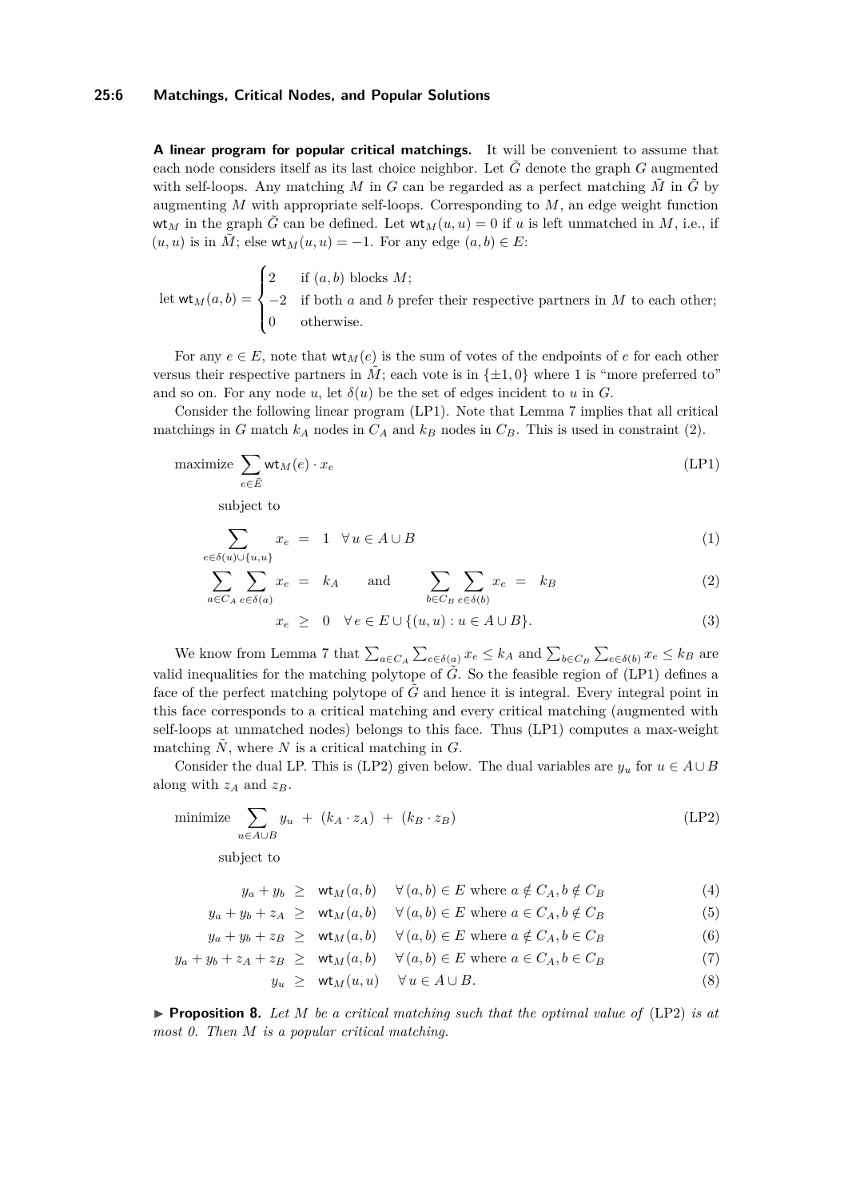#### **25:6 Matchings, Critical Nodes, and Popular Solutions**

**A linear program for popular critical matchings.** It will be convenient to assume that each node considers itself as its last choice neighbor. Let  $\tilde{G}$  denote the graph  $G$  augmented with self-loops. Any matching *M* in *G* can be regarded as a perfect matching  $\tilde{M}$  in  $\tilde{G}$  by augmenting *M* with appropriate self-loops. Corresponding to *M*, an edge weight function wt<sub>M</sub> in the graph  $\tilde{G}$  can be defined. Let  $\mathsf{wt}_M(u, u) = 0$  if u is left unmatched in M, i.e., if  $(u, u)$  is in  $\tilde{M}$ ; else wt<sub>M</sub> $(u, u) = -1$ . For any edge  $(a, b) \in E$ :

let  $\mathsf{wt}_M(a, b) =$  $\sqrt{ }$  $\int$  $\overline{\mathcal{L}}$ 2 if (*a, b*) blocks *M*; −2 if both *a* and *b* prefer their respective partners in *M* to each other; 0 otherwise.

For any  $e \in E$ , note that  $wt_M(e)$  is the sum of votes of the endpoints of *e* for each other versus their respective partners in *M*; each vote is in  $\{\pm 1, 0\}$  where 1 is "more preferred to" and so on. For any node *u*, let  $\delta(u)$  be the set of edges incident to *u* in *G*.

Consider the following linear program [\(LP1\)](#page-5-0). Note that Lemma [7](#page-4-2) implies that all critical matchings in *G* match  $k_A$  nodes in  $C_A$  and  $k_B$  nodes in  $C_B$ . This is used in constraint [\(2\)](#page-5-1).

$$
\text{maximize } \sum_{e \in \tilde{E}} \mathsf{wt}_M(e) \cdot x_e \tag{LP1}
$$

subject to

$$
\sum_{e \in \delta(u) \cup \{u, u\}} x_e = 1 \quad \forall u \in A \cup B \tag{1}
$$

$$
\sum_{a \in C_A} \sum_{e \in \delta(a)} x_e = k_A \quad \text{and} \quad \sum_{b \in C_B} \sum_{e \in \delta(b)} x_e = k_B \tag{2}
$$

<span id="page-5-2"></span><span id="page-5-1"></span><span id="page-5-0"></span>
$$
x_e \geq 0 \quad \forall e \in E \cup \{(u, u) : u \in A \cup B\}.
$$
 (3)

We know from Lemma [7](#page-4-2) that  $\sum_{a \in C_A} \sum_{e \in \delta(a)} x_e \leq k_A$  and  $\sum_{b \in C_B} \sum_{e \in \delta(b)} x_e \leq k_B$  are valid inequalities for the matching polytope of  $\tilde{G}$ . So the feasible region of [\(LP1\)](#page-5-0) defines a face of the perfect matching polytope of  $\tilde{G}$  and hence it is integral. Every integral point in this face corresponds to a critical matching and every critical matching (augmented with self-loops at unmatched nodes) belongs to this face. Thus [\(LP1\)](#page-5-0) computes a max-weight matching  $\tilde{N}$ , where  $N$  is a critical matching in  $G$ .

Consider the dual LP. This is [\(LP2\)](#page-5-2) given below. The dual variables are  $y_u$  for  $u \in A \cup B$ along with  $z_A$  and  $z_B$ .

$$
\text{minimize} \sum_{u \in A \cup B} y_u + (k_A \cdot z_A) + (k_B \cdot z_B) \tag{LP2}
$$

subject to

$$
y_a + y_b \geq \text{wt}_M(a, b) \quad \forall (a, b) \in E \text{ where } a \notin C_A, b \notin C_B \tag{4}
$$

$$
y_a + y_b + z_A \geq \text{wt}_M(a, b) \quad \forall (a, b) \in E \text{ where } a \in C_A, b \notin C_B
$$
 (5)

$$
y_a + y_b + z_B \geq \text{wt}_M(a, b) \quad \forall (a, b) \in E \text{ where } a \notin C_A, b \in C_B \tag{6}
$$

$$
y_a + y_b + z_A + z_B \geq \text{wt}_M(a, b) \quad \forall (a, b) \in E \text{ where } a \in C_A, b \in C_B \tag{7}
$$

<span id="page-5-6"></span><span id="page-5-5"></span><span id="page-5-4"></span>
$$
y_u \geq \mathsf{wt}_M(u, u) \quad \forall u \in A \cup B. \tag{8}
$$

<span id="page-5-3"></span>▶ **Proposition 8.** *Let M be a critical matching such that the optimal value of* [\(LP2\)](#page-5-2) *is at most 0. Then M is a popular critical matching.*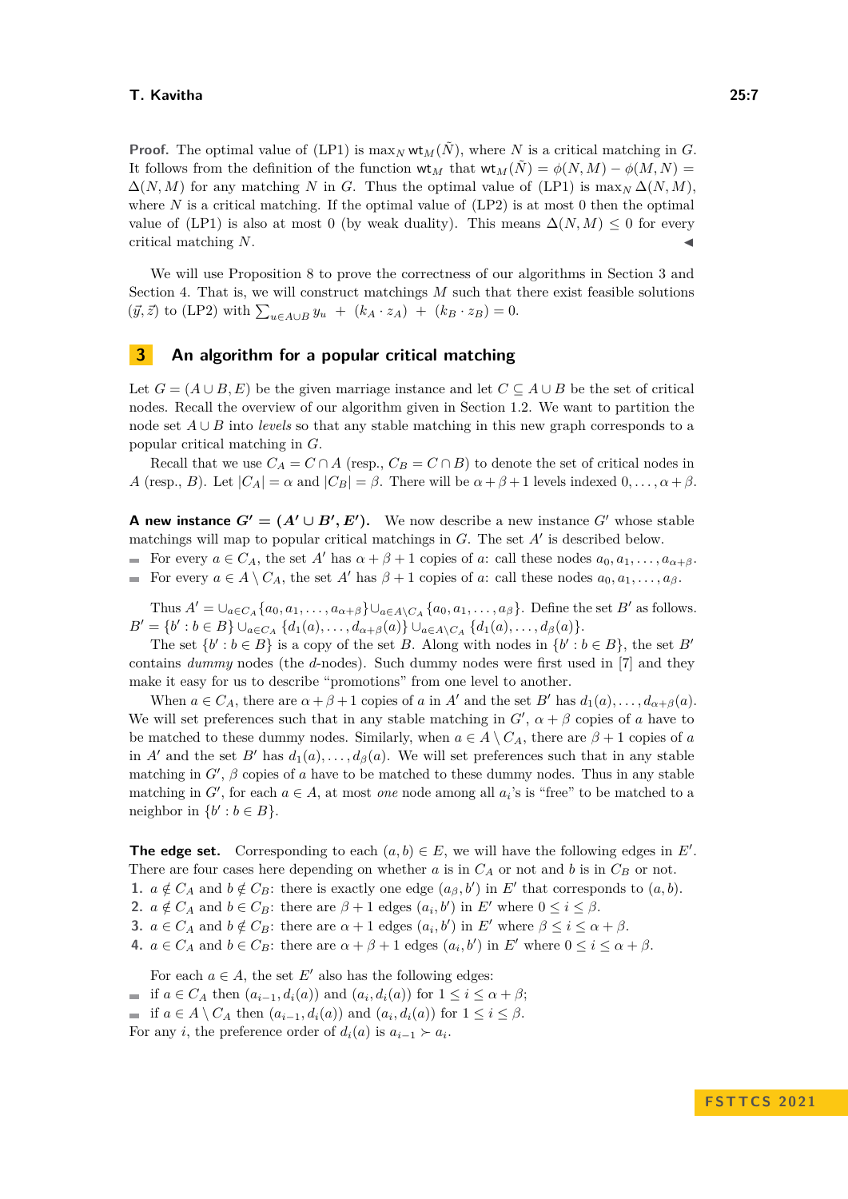**Proof.** The optimal value of [\(LP1\)](#page-5-0) is  $\max_N \text{wt}_M(\tilde{N})$ , where *N* is a critical matching in *G*. It follows from the definition of the function  $\mathsf{wt}_M$  that  $\mathsf{wt}_M(\tilde{N}) = \phi(N, M) - \phi(M, N) =$  $\Delta(N,M)$  for any matching *N* in *G*. Thus the optimal value of [\(LP1\)](#page-5-0) is max<sub>*N*</sub>  $\Delta(N,M)$ . where  $N$  is a critical matching. If the optimal value of  $(LP2)$  is at most 0 then the optimal value of [\(LP1\)](#page-5-0) is also at most 0 (by weak duality). This means  $\Delta(N, M) \leq 0$  for every critical matching N.

We will use Proposition [8](#page-5-3) to prove the correctness of our algorithms in Section [3](#page-6-0) and Section [4.](#page-10-0) That is, we will construct matchings *M* such that there exist feasible solutions  $(\vec{y}, \vec{z})$  to [\(LP2\)](#page-5-2) with  $\sum_{u \in A \cup B} y_u + (k_A \cdot z_A) + (k_B \cdot z_B) = 0.$ 

# <span id="page-6-0"></span>**3 An algorithm for a popular critical matching**

Let  $G = (A \cup B, E)$  be the given marriage instance and let  $C \subseteq A \cup B$  be the set of critical nodes. Recall the overview of our algorithm given in Section [1.2.](#page-3-0) We want to partition the node set *A* ∪ *B* into *levels* so that any stable matching in this new graph corresponds to a popular critical matching in *G*.

Recall that we use  $C_A = C \cap A$  (resp.,  $C_B = C \cap B$ ) to denote the set of critical nodes in *A* (resp., *B*). Let  $|C_A| = \alpha$  and  $|C_B| = \beta$ . There will be  $\alpha + \beta + 1$  levels indexed  $0, \ldots, \alpha + \beta$ .

**A** new instance  $G' = (A' \cup B', E')$ . We now describe a new instance  $G'$  whose stable matchings will map to popular critical matchings in *G*. The set *A*′ is described below.

For every  $a \in C_A$ , the set  $A'$  has  $\alpha + \beta + 1$  copies of  $a$ : call these nodes  $a_0, a_1, \ldots, a_{\alpha+\beta}$ . For every  $a \in A \setminus C_A$ , the set  $A'$  has  $\beta + 1$  copies of *a*: call these nodes  $a_0, a_1, \ldots, a_\beta$ .

Thus  $A' = \bigcup_{a \in C_A} \{a_0, a_1, \ldots, a_{\alpha+\beta}\} \bigcup_{a \in A \setminus C_A} \{a_0, a_1, \ldots, a_{\beta}\}.$  Define the set *B'* as follows.  $B' = \{b' : b \in B\} \cup_{a \in C_A} \{d_1(a), \ldots, d_{\alpha+\beta}(a)\} \cup_{a \in A \setminus C_A} \{d_1(a), \ldots, d_{\beta}(a)\}.$ 

The set  $\{b' : b \in B\}$  is a copy of the set *B*. Along with nodes in  $\{b' : b \in B\}$ , the set *B*<sup>'</sup> contains *dummy* nodes (the *d*-nodes). Such dummy nodes were first used in [\[7\]](#page-15-13) and they make it easy for us to describe "promotions" from one level to another.

When  $a \in C_A$ , there are  $\alpha + \beta + 1$  copies of *a* in *A'* and the set *B'* has  $d_1(a), \ldots, d_{\alpha+\beta}(a)$ . We will set preferences such that in any stable matching in  $G'$ ,  $\alpha + \beta$  copies of *a* have to be matched to these dummy nodes. Similarly, when  $a \in A \setminus C_A$ , there are  $\beta + 1$  copies of *a* in *A'* and the set *B'* has  $d_1(a), \ldots, d_\beta(a)$ . We will set preferences such that in any stable matching in  $G'$ ,  $\beta$  copies of  $a$  have to be matched to these dummy nodes. Thus in any stable matching in  $G'$ , for each  $a \in A$ , at most *one* node among all  $a_i$ 's is "free" to be matched to a neighbor in  $\{b' : b \in B\}.$ 

**The edge set.** Corresponding to each  $(a, b) \in E$ , we will have the following edges in  $E'$ . There are four cases here depending on whether  $a$  is in  $C_A$  or not and  $b$  is in  $C_B$  or not. **1.**  $a \notin C_A$  and  $b \notin C_B$ : there is exactly one edge  $(a_\beta, b')$  in E' that corresponds to  $(a, b)$ .

**2.**  $a \notin C_A$  and  $b \in C_B$ : there are  $\beta + 1$  edges  $(a_i, b')$  in  $E'$  where  $0 \le i \le \beta$ .

**3.**  $a \in C_A$  and  $b \notin C_B$ : there are  $\alpha + 1$  edges  $(a_i, b')$  in *E'* where  $\beta \leq i \leq \alpha + \beta$ .

**4.**  $a \in C_A$  and  $b \in C_B$ : there are  $\alpha + \beta + 1$  edges  $(a_i, b')$  in  $E'$  where  $0 \le i \le \alpha + \beta$ .

For each  $a \in A$ , the set  $E'$  also has the following edges:

if  $a \in C_A$  then  $(a_{i-1}, d_i(a))$  and  $(a_i, d_i(a))$  for  $1 \le i \le \alpha + \beta$ ;

if  $a \in A \setminus C_A$  then  $(a_{i-1}, d_i(a))$  and  $(a_i, d_i(a))$  for  $1 \leq i \leq \beta$ .

For any *i*, the preference order of  $d_i(a)$  is  $a_{i-1} \succ a_i$ .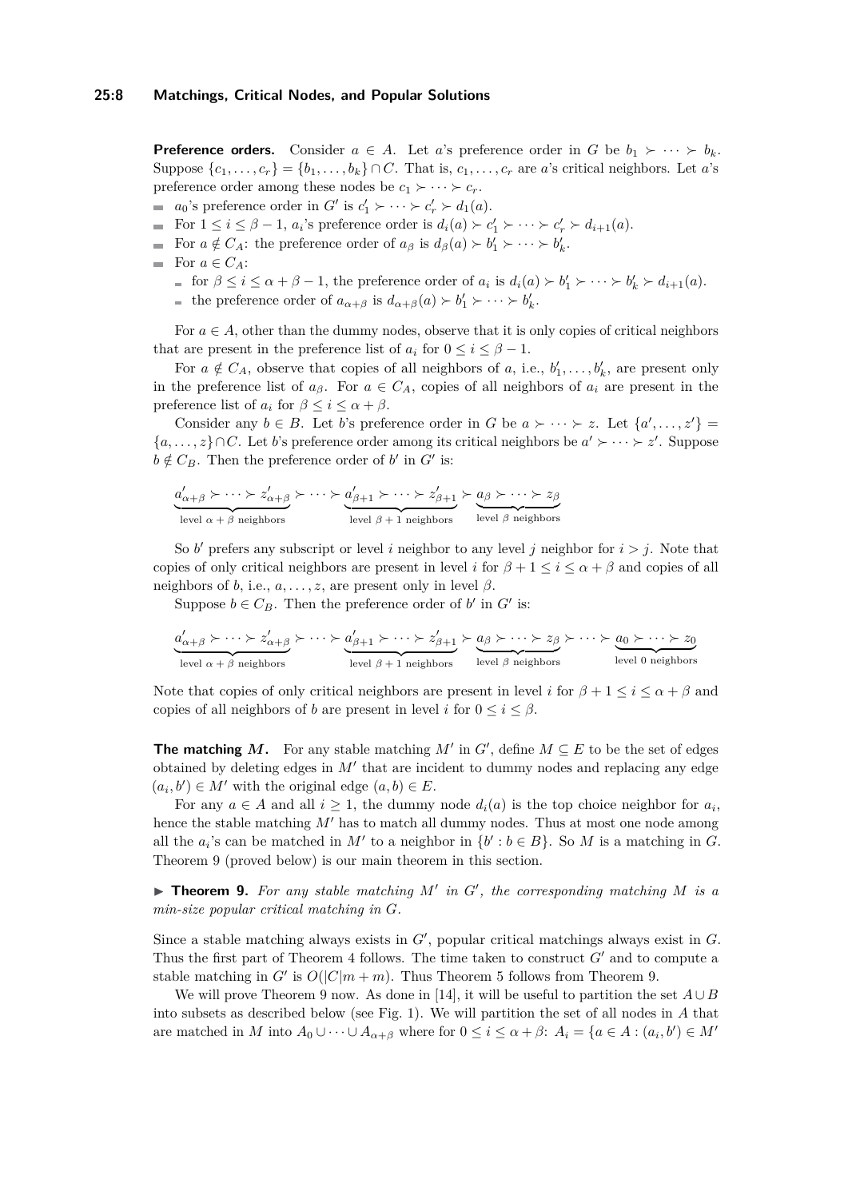**Preference orders.** Consider  $a \in A$ . Let *a*'s preference order in *G* be  $b_1 \succ \cdots \succ b_k$ . Suppose  $\{c_1, \ldots, c_r\} = \{b_1, \ldots, b_k\} \cap C$ . That is,  $c_1, \ldots, c_r$  are *a*'s critical neighbors. Let *a*'s preference order among these nodes be  $c_1 \succ \cdots \succ c_r$ .

- *a*<sub>0</sub>'s preference order in  $G'$  is  $c'_1 \succ \cdots \succ c'_r \succ d_1(a)$ .
- For  $1 \leq i \leq \beta 1$ ,  $a_i$ 's preference order is  $d_i(a) \succ c'_1 \succ \cdots \succ c'_r \succ d_{i+1}(a)$ .
- For  $a \notin C_A$ : the preference order of  $a_\beta$  is  $d_\beta(a) > b'_1 > \cdots > b'_k$ .
- For  $a \in C_A$ :
	- for  $\beta \leq i \leq \alpha + \beta 1$ , the preference order of  $a_i$  is  $d_i(a) \succ b'_1 \succ \cdots \succ b'_k \succ d_{i+1}(a)$ .
	- the preference order of  $a_{\alpha+\beta}$  is  $d_{\alpha+\beta}(a) > b'_1 > \cdots > b'_k$ .

For  $a \in A$ , other than the dummy nodes, observe that it is only copies of critical neighbors that are present in the preference list of  $a_i$  for  $0 \le i \le \beta - 1$ .

For  $a \notin C_A$ , observe that copies of all neighbors of *a*, i.e.,  $b'_1, \ldots, b'_k$ , are present only in the preference list of  $a_{\beta}$ . For  $a \in C_A$ , copies of all neighbors of  $a_i$  are present in the preference list of  $a_i$  for  $\beta \leq i \leq \alpha + \beta$ .

Consider any  $b \in B$ . Let *b*'s preference order in *G* be  $a \succ \cdots \succ z$ . Let  $\{a', \ldots, z'\}$  ${a, ..., z} ∩ C$ . Let *b*'s preference order among its critical neighbors be  $a' \succ \cdots \succ z'$ . Suppose  $b \notin C_B$ . Then the preference order of *b'* in *G'* is:

$$
\underbrace{a'_{\alpha+\beta}\succ\cdots\succ z'_{\alpha+\beta}}_{\text{level }\alpha+\beta\text{ neighbors}}\succ\dots\succ a'_{\beta+1}\succ\cdots\succ z'_{\beta+1}}_{\text{level }\beta+1\text{ neighbors}}\succ\underbrace{a_{\beta}\succ\cdots\succ z_{\beta}}_{\text{level }\beta\text{ neighbors}}
$$

So  $b'$  prefers any subscript or level *i* neighbor to any level *j* neighbor for  $i > j$ . Note that copies of only critical neighbors are present in level *i* for  $\beta + 1 \leq i \leq \alpha + \beta$  and copies of all neighbors of *b*, i.e.,  $a, \ldots, z$ , are present only in level  $\beta$ .

Suppose  $b \in C_B$ . Then the preference order of *b*' in *G*' is:

$$
\underbrace{a'_{\alpha+\beta}\succ\cdots\succ z'_{\alpha+\beta}}_{\text{level }\alpha+\beta \text{ neighbors}}\succ\dots\succ a'_{\beta+1}\succ\cdots\succ z'_{\beta+1}}_{\text{level }\beta+1 \text{ neighbors}}\succ\underbrace{a_{\beta}\succ\cdots\succ z_{\beta}}_{\text{level }\beta \text{ neighbors}}\succ\dots\succ\underbrace{a_{0}\succ\cdots\succ z_{0}}_{\text{level }0 \text{ neighbors}}
$$

Note that copies of only critical neighbors are present in level *i* for  $\beta + 1 \leq i \leq \alpha + \beta$  and copies of all neighbors of *b* are present in level *i* for  $0 \le i \le \beta$ .

**The matching** *M*. For any stable matching *M'* in  $G'$ , define  $M \subseteq E$  to be the set of edges obtained by deleting edges in *M*′ that are incident to dummy nodes and replacing any edge  $(a_i, b') \in M'$  with the original edge  $(a, b) \in E$ .

For any  $a \in A$  and all  $i \geq 1$ , the dummy node  $d_i(a)$  is the top choice neighbor for  $a_i$ , hence the stable matching *M'* has to match all dummy nodes. Thus at most one node among all the  $a_i$ 's can be matched in  $M'$  to a neighbor in  $\{b' : b \in B\}$ . So M is a matching in *G*. Theorem [9](#page-7-0) (proved below) is our main theorem in this section.

<span id="page-7-0"></span>▶ **Theorem 9.** *For any stable matching M*′ *in G*′ *, the corresponding matching M is a min-size popular critical matching in G.*

Since a stable matching always exists in *G*′ , popular critical matchings always exist in *G*. Thus the first part of Theorem [4](#page-2-0) follows. The time taken to construct *G*′ and to compute a stable matching in *G'* is  $O(|C|m + m)$ . Thus Theorem [5](#page-2-1) follows from Theorem [9.](#page-7-0)

We will prove Theorem [9](#page-7-0) now. As done in [\[14\]](#page-15-8), it will be useful to partition the set  $A \cup B$ into subsets as described below (see Fig. [1\)](#page-8-1). We will partition the set of all nodes in *A* that are matched in *M* into  $A_0 \cup \cdots \cup A_{\alpha+\beta}$  where for  $0 \leq i \leq \alpha + \beta$ :  $A_i = \{a \in A : (a_i, b') \in M'\}$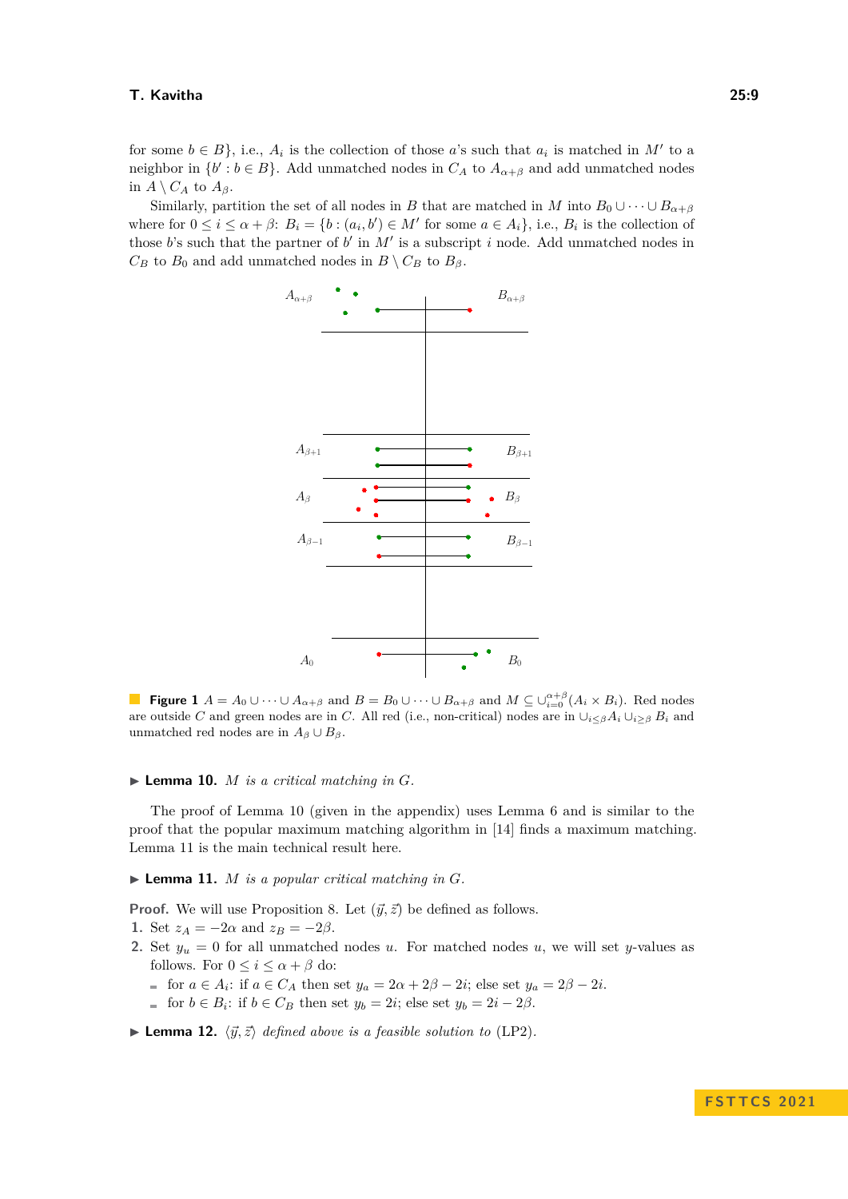for some  $b \in B$ , i.e.,  $A_i$  is the collection of those *a*'s such that  $a_i$  is matched in  $M'$  to a neighbor in  $\{b': b \in B\}$ . Add unmatched nodes in  $C_A$  to  $A_{\alpha+\beta}$  and add unmatched nodes in  $A \setminus C_A$  to  $A_\beta$ .

<span id="page-8-1"></span>Similarly, partition the set of all nodes in *B* that are matched in *M* into  $B_0 \cup \cdots \cup B_{\alpha+\beta}$ where for  $0 \le i \le \alpha + \beta$ :  $B_i = \{b : (a_i, b') \in M' \text{ for some } a \in A_i\}$ , i.e.,  $B_i$  is the collection of those  $b$ 's such that the partner of  $b'$  in  $M'$  is a subscript  $i$  node. Add unmatched nodes in  $C_B$  to  $B_0$  and add unmatched nodes in  $B \setminus C_B$  to  $B_\beta$ .



**Figure 1**  $A = A_0 \cup \cdots \cup A_{\alpha+\beta}$  and  $B = B_0 \cup \cdots \cup B_{\alpha+\beta}$  and  $M \subseteq \cup_{i=0}^{\alpha+\beta}(A_i \times B_i)$ . Red nodes are outside *C* and green nodes are in *C*. All red (i.e., non-critical) nodes are in  $\cup_{i\leq\beta}A_i\cup_{i\geq\beta}B_i$  and unmatched red nodes are in  $A_\beta \cup B_\beta$ .

#### <span id="page-8-2"></span> $\blacktriangleright$  **Lemma 10.** *M is a critical matching in G*.

The proof of Lemma [10](#page-8-2) (given in the appendix) uses Lemma [6](#page-4-1) and is similar to the proof that the popular maximum matching algorithm in [\[14\]](#page-15-8) finds a maximum matching. Lemma [11](#page-8-0) is the main technical result here.

<span id="page-8-0"></span> $\blacktriangleright$  **Lemma 11.** *M is a popular critical matching in G.* 

**Proof.** We will use Proposition [8.](#page-5-3) Let  $(\vec{y}, \vec{z})$  be defined as follows.

- 1. Set  $z_A = -2\alpha$  and  $z_B = -2\beta$ .
- 2. Set  $y_u = 0$  for all unmatched nodes *u*. For matched nodes *u*, we will set *y*-values as follows. For  $0 \leq i \leq \alpha + \beta$  do:
	- for  $a \in A_i$ : if  $a \in C_A$  then set  $y_a = 2\alpha + 2\beta 2i$ ; else set  $y_a = 2\beta 2i$ .
	- for  $b \in B_i$ : if  $b \in C_B$  then set  $y_b = 2i$ ; else set  $y_b = 2i 2\beta$ .

<span id="page-8-3"></span> $\blacktriangleright$  **Lemma 12.**  $\langle \vec{y}, \vec{z} \rangle$  *defined above is a feasible solution to* [\(LP2\)](#page-5-2).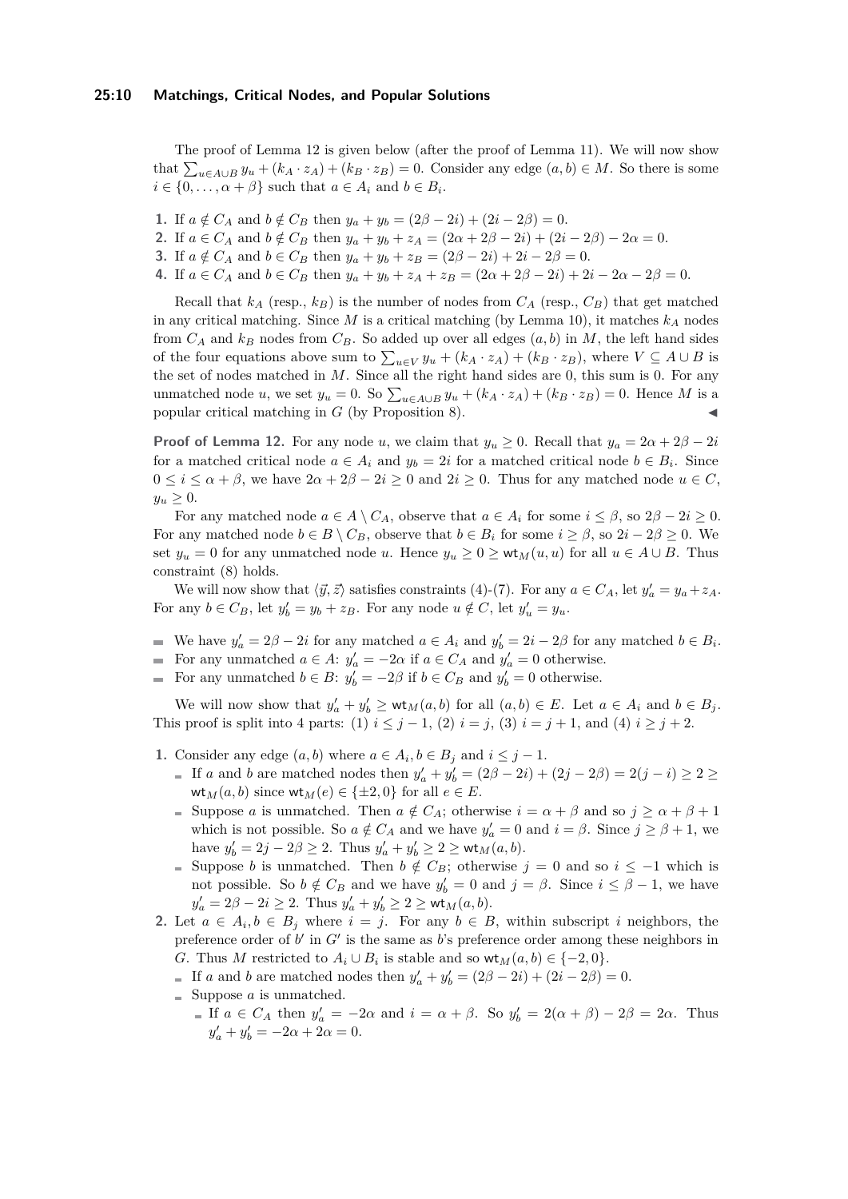The proof of Lemma [12](#page-8-3) is given below (after the proof of Lemma [11\)](#page-8-0). We will now show that  $\sum_{u \in A \cup B} y_u + (k_A \cdot z_A) + (k_B \cdot z_B) = 0$ . Consider any edge  $(a, b) \in M$ . So there is some  $i \in \{0, \ldots, \alpha + \beta\}$  such that  $a \in A_i$  and  $b \in B_i$ .

**1.** If  $a \notin C_A$  and  $b \notin C_B$  then  $y_a + y_b = (2\beta - 2i) + (2i - 2\beta) = 0$ .

2. If 
$$
a \in C_A
$$
 and  $b \notin C_B$  then  $y_a + y_b + z_A = (2\alpha + 2\beta - 2i) + (2i - 2\beta) - 2\alpha = 0$ .

**3.** If  $a \notin C_A$  and  $b \in C_B$  then  $y_a + y_b + z_B = (2\beta - 2i) + 2i - 2\beta = 0$ .

4. If  $a \in C_A$  and  $b \in C_B$  then  $y_a + y_b + z_A + z_B = (2\alpha + 2\beta - 2i) + 2i - 2\alpha - 2\beta = 0$ .

Recall that  $k_A$  (resp.,  $k_B$ ) is the number of nodes from  $C_A$  (resp.,  $C_B$ ) that get matched in any critical matching. Since *M* is a critical matching (by Lemma [10\)](#page-8-2), it matches *k<sup>A</sup>* nodes from  $C_A$  and  $k_B$  nodes from  $C_B$ . So added up over all edges  $(a, b)$  in *M*, the left hand sides of the four equations above sum to  $\sum_{u \in V} y_u + (k_A \cdot z_A) + (k_B \cdot z_B)$ , where  $V \subseteq A \cup B$  is the set of nodes matched in *M*. Since all the right hand sides are 0, this sum is 0. For any unmatched node *u*, we set  $y_u = 0$ . So  $\sum_{u \in A \cup B} y_u + (k_A \cdot z_A) + (k_B \cdot z_B) = 0$ . Hence *M* is a popular critical matching in  $G$  (by Proposition [8\)](#page-5-3).

**Proof of Lemma [12.](#page-8-3)** For any node *u*, we claim that  $y_u \geq 0$ . Recall that  $y_a = 2\alpha + 2\beta - 2i$ for a matched critical node  $a \in A_i$  and  $y_b = 2i$  for a matched critical node  $b \in B_i$ . Since  $0 \leq i \leq \alpha + \beta$ , we have  $2\alpha + 2\beta - 2i \geq 0$  and  $2i \geq 0$ . Thus for any matched node  $u \in C$ ,  $y_u > 0$ .

For any matched node  $a \in A \setminus C_A$ , observe that  $a \in A_i$  for some  $i \leq \beta$ , so  $2\beta - 2i \geq 0$ . For any matched node  $b \in B \setminus C_B$ , observe that  $b \in B_i$  for some  $i \ge \beta$ , so  $2i - 2\beta \ge 0$ . We set  $y_u = 0$  for any unmatched node *u*. Hence  $y_u \geq 0 \geq \mathsf{wt}_M(u, u)$  for all  $u \in A \cup B$ . Thus constraint [\(8\)](#page-5-4) holds.

We will now show that  $\langle \vec{y}, \vec{z} \rangle$  satisfies constraints [\(4\)](#page-5-5)-[\(7\)](#page-5-6). For any  $a \in C_A$ , let  $y'_a = y_a + z_A$ . For any  $b \in C_B$ , let  $y'_b = y_b + z_B$ . For any node  $u \notin C$ , let  $y'_u = y_u$ .

- We have  $y'_a = 2\beta 2i$  for any matched  $a \in A_i$  and  $y'_b = 2i 2\beta$  for any matched  $b \in B_i$ .
- For any unmatched  $a \in A$ :  $y'_a = -2\alpha$  if  $a \in C_A$  and  $y'_a = 0$  otherwise.
- For any unmatched  $b \in B$ :  $y'_b = -2\beta$  if  $b \in C_B$  and  $y'_b = 0$  otherwise.

We will now show that  $y'_a + y'_b \geq \mathsf{wt}_M(a, b)$  for all  $(a, b) \in E$ . Let  $a \in A_i$  and  $b \in B_j$ . This proof is split into 4 parts: (1)  $i \leq j - 1$ , (2)  $i = j$ , (3)  $i = j + 1$ , and (4)  $i \geq j + 2$ .

- **1.** Consider any edge  $(a, b)$  where  $a \in A_i, b \in B_j$  and  $i \leq j 1$ .
	- If *a* and *b* are matched nodes then  $y'_a + y'_b = (2\beta 2i) + (2j 2\beta) = 2(j i) \ge 2 \ge$  $wt_M(a, b)$  since  $wt_M(e) \in \{\pm 2, 0\}$  for all  $e \in E$ .
	- Suppose *a* is unmatched. Then  $a \notin C_A$ ; otherwise  $i = \alpha + \beta$  and so  $j \geq \alpha + \beta + 1$ which is not possible. So  $a \notin C_A$  and we have  $y'_a = 0$  and  $i = \beta$ . Since  $j \ge \beta + 1$ , we have  $y'_b = 2j - 2\beta \ge 2$ . Thus  $y'_a + y'_b \ge 2 \ge \text{wt}_M(a, b)$ .
	- Suppose *b* is unmatched. Then  $b \notin C_B$ ; otherwise  $j = 0$  and so  $i \leq -1$  which is not possible. So  $b \notin C_B$  and we have  $y'_b = 0$  and  $j = \beta$ . Since  $i \leq \beta - 1$ , we have  $y'_a = 2\beta - 2i \ge 2$ . Thus  $y'_a + y'_b \ge 2 \ge \text{wt}_M(a, b)$ .
- **2.** Let  $a \in A_i, b \in B_j$  where  $i = j$ . For any  $b \in B$ , within subscript *i* neighbors, the preference order of  $b'$  in  $G'$  is the same as  $b$ 's preference order among these neighbors in *G*. Thus *M* restricted to  $A_i \cup B_i$  is stable and so  $\mathsf{wt}_M(a, b) \in \{-2, 0\}.$ 
	- If *a* and *b* are matched nodes then  $y'_a + y'_b = (2\beta 2i) + (2i 2\beta) = 0$ .
	- $\equiv$  Suppose *a* is unmatched.
		- If  $a \in C_A$  then  $y'_a = -2\alpha$  and  $i = \alpha + \beta$ . So  $y'_b = 2(\alpha + \beta) 2\beta = 2\alpha$ . Thus  $y'_a + y'_b = -2\alpha + 2\alpha = 0.$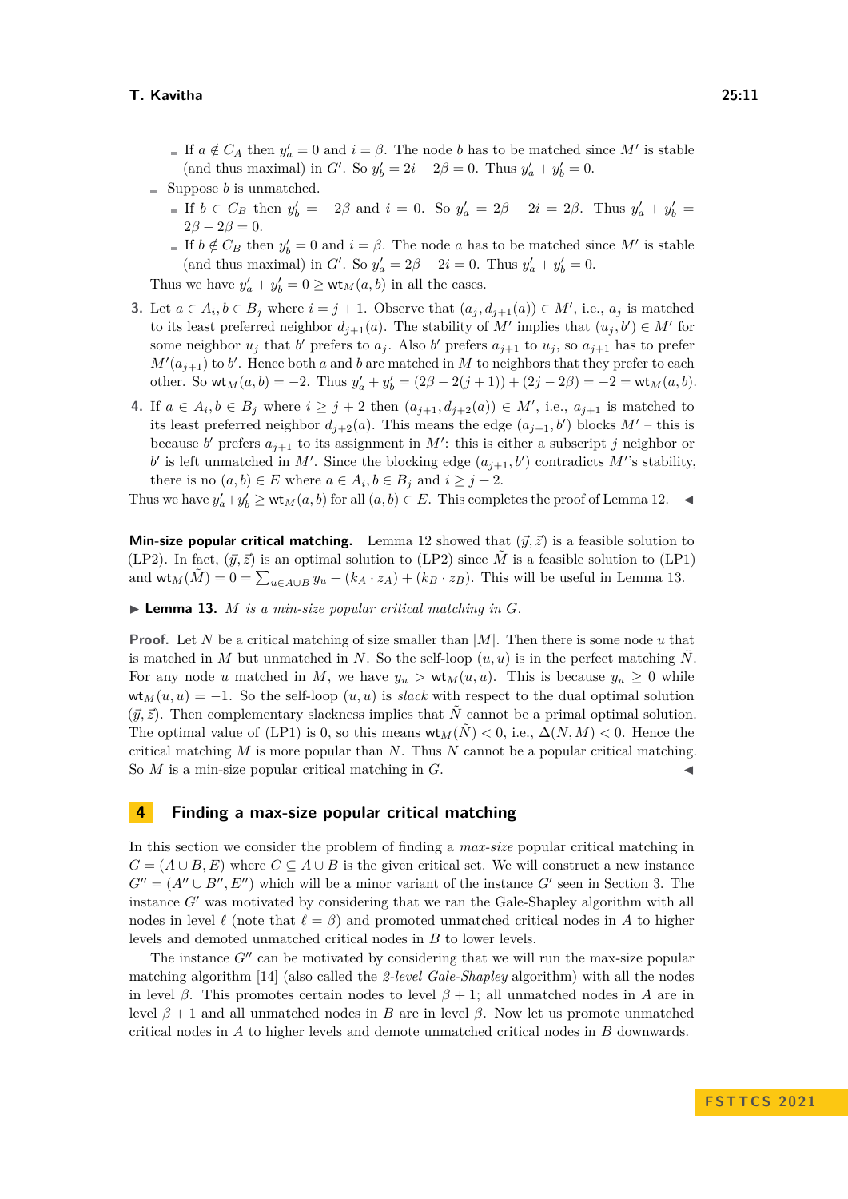- If  $a \notin C_A$  then  $y'_a = 0$  and  $i = \beta$ . The node *b* has to be matched since M' is stable (and thus maximal) in *G'*. So  $y'_b = 2i - 2\beta = 0$ . Thus  $y'_a + y'_b = 0$ .
- $\equiv$  Suppose *b* is unmatched.
	- If  $b \in C_B$  then  $y'_b = -2\beta$  and  $i = 0$ . So  $y'_a = 2\beta 2i = 2\beta$ . Thus  $y'_a + y'_b =$  $2\beta - 2\beta = 0.$
	- If  $b \notin C_B$  then  $y'_b = 0$  and  $i = \beta$ . The node *a* has to be matched since *M'* is stable (and thus maximal) in *G'*. So  $y'_a = 2\beta - 2i = 0$ . Thus  $y'_a + y'_b = 0$ .

Thus we have  $y'_a + y'_b = 0 \ge \text{wt}_M(a, b)$  in all the cases.

- **3.** Let  $a \in A_i, b \in B_j$  where  $i = j + 1$ . Observe that  $(a_j, d_{j+1}(a)) \in M'$ , i.e.,  $a_j$  is matched to its least preferred neighbor  $d_{j+1}(a)$ . The stability of M' implies that  $(u_j, b') \in M'$  for some neighbor  $u_j$  that  $b'$  prefers to  $a_j$ . Also  $b'$  prefers  $a_{j+1}$  to  $u_j$ , so  $a_{j+1}$  has to prefer  $M'(a_{j+1})$  to *b*<sup>'</sup>. Hence both *a* and *b* are matched in *M* to neighbors that they prefer to each other. So  $\mathsf{wt}_M(a, b) = -2$ . Thus  $y'_a + y'_b = (2\beta - 2(j + 1)) + (2j - 2\beta) = -2 = \mathsf{wt}_M(a, b)$ .
- **4.** If *a* ∈ *A*<sub>*i*</sub>, *b* ∈ *B*<sub>*j*</sub> where *i* ≥ *j* + 2 then  $(a_{j+1}, d_{j+2}(a)) ∈ M'$ , i.e.,  $a_{j+1}$  is matched to its least preferred neighbor  $d_{j+2}(a)$ . This means the edge  $(a_{j+1}, b')$  blocks  $M'$  – this is because *b*<sup> $\prime$ </sup> prefers  $a_{j+1}$  to its assignment in *M*<sup> $\prime$ </sup>: this is either a subscript *j* neighbor or *b*<sup> $\prime$ </sup> is left unmatched in *M*<sup> $\prime$ </sup>. Since the blocking edge  $(a_{j+1}, b')$  contradicts *M*<sup> $\prime$ </sup>'s stability, there is no  $(a, b) \in E$  where  $a \in A_i, b \in B_j$  and  $i \geq j + 2$ .

Thus we have  $y'_a + y'_b \geq \mathsf{wt}_M(a, b)$  for all  $(a, b) \in E$ . This completes the proof of Lemma [12.](#page-8-3)  $\blacktriangleleft$ 

**Min-size popular critical matching.** Lemma [12](#page-8-3) showed that  $(\vec{y}, \vec{z})$  is a feasible solution to [\(LP2\)](#page-5-2). In fact,  $(\vec{y}, \vec{z})$  is an optimal solution to (LP2) since  $\vec{M}$  is a feasible solution to [\(LP1\)](#page-5-0) and  $\mathsf{wt}_M(\tilde{M}) = 0 = \sum_{u \in A \cup B} y_u + (k_A \cdot z_A) + (k_B \cdot z_B)$ . This will be useful in Lemma [13.](#page-10-1)

<span id="page-10-1"></span> $\blacktriangleright$  **Lemma 13.** *M is a min-size popular critical matching in G.* 

**Proof.** Let *N* be a critical matching of size smaller than |*M*|. Then there is some node *u* that is matched in *M* but unmatched in *N*. So the self-loop  $(u, u)$  is in the perfect matching *N*. For any node *u* matched in *M*, we have  $y_u > \text{wt}_M(u, u)$ . This is because  $y_u \geq 0$  while  $wt_M(u, u) = -1$ . So the self-loop  $(u, u)$  is *slack* with respect to the dual optimal solution  $(\vec{y}, \vec{z})$ . Then complementary slackness implies that  $\tilde{N}$  cannot be a primal optimal solution. The optimal value of [\(LP1\)](#page-5-0) is 0, so this means  $wt_M(\tilde{N}) < 0$ , i.e.,  $\Delta(N, M) < 0$ . Hence the critical matching *M* is more popular than *N*. Thus *N* cannot be a popular critical matching. So  $M$  is a min-size popular critical matching in  $G$ .

## <span id="page-10-0"></span>**4 Finding a max-size popular critical matching**

In this section we consider the problem of finding a *max-size* popular critical matching in  $G = (A \cup B, E)$  where  $C \subseteq A \cup B$  is the given critical set. We will construct a new instance  $G'' = (A'' \cup B'', E'')$  which will be a minor variant of the instance  $G'$  seen in Section [3.](#page-6-0) The instance *G*′ was motivated by considering that we ran the Gale-Shapley algorithm with all nodes in level  $\ell$  (note that  $\ell = \beta$ ) and promoted unmatched critical nodes in *A* to higher levels and demoted unmatched critical nodes in *B* to lower levels.

The instance *G*<sup> $\prime\prime$ </sup> can be motivated by considering that we will run the max-size popular matching algorithm [\[14\]](#page-15-8) (also called the *2-level Gale-Shapley* algorithm) with all the nodes in level *β*. This promotes certain nodes to level  $\beta + 1$ ; all unmatched nodes in *A* are in level  $β + 1$  and all unmatched nodes in *B* are in level  $β$ . Now let us promote unmatched critical nodes in *A* to higher levels and demote unmatched critical nodes in *B* downwards.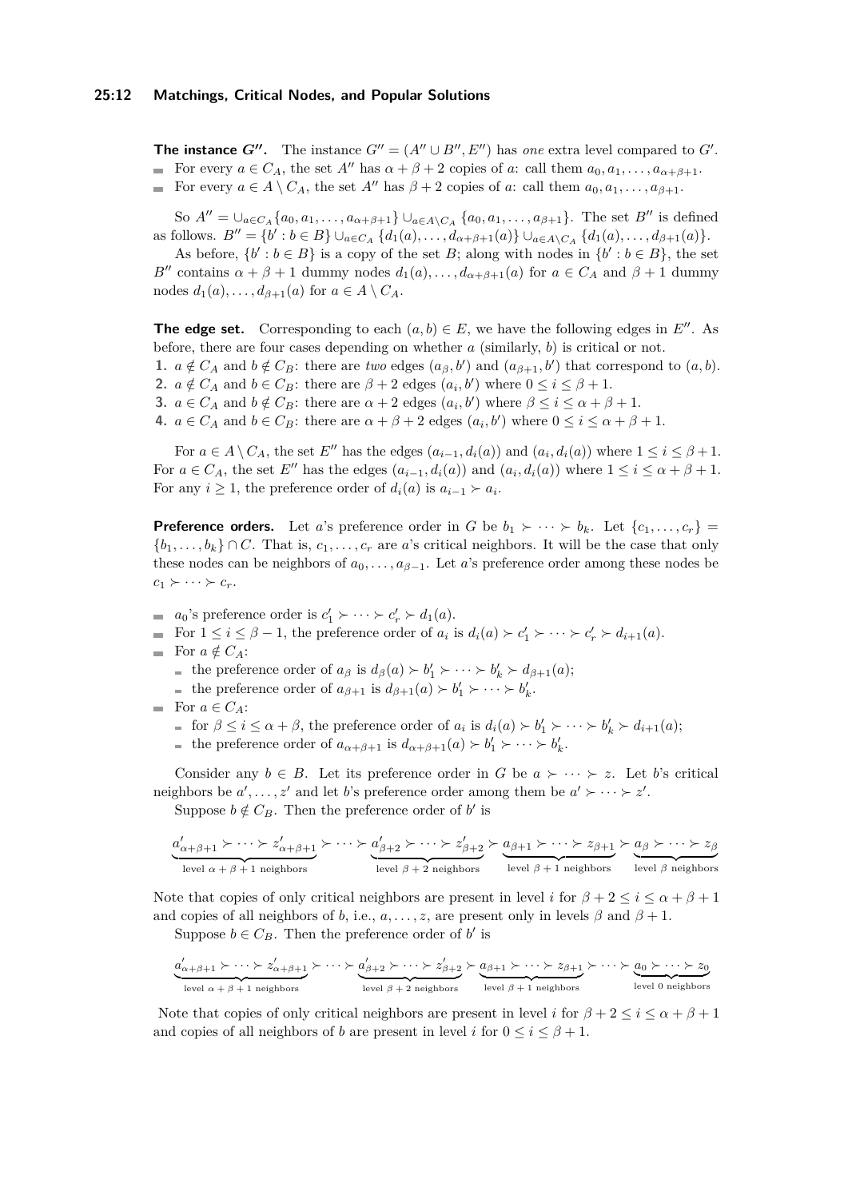**The instance** *G***<sup>** $\prime\prime$ **</sup>.** The instance  $G'' = (A'' \cup B'', E'')$  has *one* extra level compared to *G*<sup> $\prime$ </sup>. For every  $a \in C_A$ , the set  $A''$  has  $\alpha + \beta + 2$  copies of *a*: call them  $a_0, a_1, \ldots, a_{\alpha+\beta+1}$ . For every  $a \in A \setminus C_A$ , the set  $A''$  has  $\beta + 2$  copies of *a*: call them  $a_0, a_1, \ldots, a_{\beta+1}$ .

So  $A'' = \bigcup_{a \in C_A} \{a_0, a_1, \ldots, a_{\alpha+\beta+1}\} \bigcup_{a \in A \setminus C_A} \{a_0, a_1, \ldots, a_{\beta+1}\}.$  The set *B*<sup>''</sup> is defined as follows.  $B'' = \{b' : b \in B\} \cup_{a \in C_A} \{d_1(a), \ldots, d_{\alpha+\beta+1}(a)\} \cup_{a \in A \setminus C_A} \{d_1(a), \ldots, d_{\beta+1}(a)\}.$ 

As before,  $\{b' : b \in B\}$  is a copy of the set *B*; along with nodes in  $\{b' : b \in B\}$ , the set *B*<sup>′′</sup> contains  $\alpha + \beta + 1$  dummy nodes  $d_1(a), \ldots, d_{\alpha+\beta+1}(a)$  for  $a \in C_A$  and  $\beta + 1$  dummy nodes  $d_1(a), \ldots, d_{\beta+1}(a)$  for  $a \in A \setminus C_A$ .

**The edge set.** Corresponding to each  $(a, b) \in E$ , we have the following edges in *E''*. As before, there are four cases depending on whether  $a$  (similarly,  $b$ ) is critical or not.

**1.**  $a \notin C_A$  and  $b \notin C_B$ : there are *two* edges  $(a_{\beta}, b')$  and  $(a_{\beta+1}, b')$  that correspond to  $(a, b)$ . **2.**  $a \notin C_A$  and  $b \in C_B$ : there are  $\beta + 2$  edges  $(a_i, b')$  where  $0 \le i \le \beta + 1$ .

**3.**  $a \in C_A$  and  $b \notin C_B$ : there are  $\alpha + 2$  edges  $(a_i, b')$  where  $\beta \leq i \leq \alpha + \beta + 1$ .

**4.**  $a \in C_A$  and  $b \in C_B$ : there are  $\alpha + \beta + 2$  edges  $(a_i, b')$  where  $0 \le i \le \alpha + \beta + 1$ .

For  $a \in A \setminus C_A$ , the set *E*<sup>''</sup> has the edges  $(a_{i-1}, d_i(a))$  and  $(a_i, d_i(a))$  where  $1 \le i \le \beta + 1$ . For  $a \in C_A$ , the set  $E''$  has the edges  $(a_{i-1}, d_i(a))$  and  $(a_i, d_i(a))$  where  $1 \le i \le \alpha + \beta + 1$ . For any  $i \geq 1$ , the preference order of  $d_i(a)$  is  $a_{i-1} \succ a_i$ .

**Preference orders.** Let *a*'s preference order in *G* be  $b_1 \succ \cdots \succ b_k$ . Let  $\{c_1, \ldots, c_r\}$  ${b_1, \ldots, b_k} \cap C$ . That is,  $c_1, \ldots, c_r$  are *a*'s critical neighbors. It will be the case that only these nodes can be neighbors of  $a_0, \ldots, a_{\beta-1}$ . Let *a*'s preference order among these nodes be  $c_1 \succ \cdots \succ c_r$ .

- $a_0$ 's preference order is  $c'_1 \succ \cdots \succ c'_r \succ d_1(a)$ .
- For  $1 \leq i \leq \beta 1$ , the preference order of  $a_i$  is  $d_i(a) \succ c'_1 \succ \cdots \succ c'_r \succ d_{i+1}(a)$ .
- For  $a \notin C_A$ :
	- the preference order of  $a_{\beta}$  is  $d_{\beta}(a) > b'_{1} > \cdots > b'_{k} > d_{\beta+1}(a);$
	- the preference order of  $a_{\beta+1}$  is  $d_{\beta+1}(a) \succ b'_1 \succ \cdots \succ b'_k$ .
- For  $a \in C_A$ :
	- for  $\beta \leq i \leq \alpha + \beta$ , the preference order of  $a_i$  is  $d_i(a) \succ b'_1 \succ \cdots \succ b'_k \succ d_{i+1}(a)$ ;
	- the preference order of  $a_{\alpha+\beta+1}$  is  $d_{\alpha+\beta+1}(a) > b'_1 > \cdots > b'_k$ .

Consider any  $b \in B$ . Let its preference order in *G* be  $a \succ \cdots \succ z$ . Let *b*'s critical neighbors be  $a'$ , ...,  $z'$  and let *b*'s preference order among them be  $a' \succ \cdots \succ z'$ .

Suppose 
$$
b \notin C_B
$$
. Then the preference order of b' is

$$
\underbrace{a'_{\alpha+\beta+1} \succ \cdots \succ z'_{\alpha+\beta+1}}_{\text{level $\alpha+\beta+1$ neighbors}} \succ \cdots \succ \underbrace{a'_{\beta+2} \succ \cdots \succ z'_{\beta+2}}_{\text{level $\beta+2$ neighbors}} \succ \underbrace{a_{\beta+1} \succ \cdots \succ z_{\beta+1}}_{\text{level $\beta+1$ neighbors}} \succ \underbrace{a_{\beta} \succ \cdots \succ z_{\beta+2}}_{\text{level $\beta$ neighbors}}
$$

Note that copies of only critical neighbors are present in level *i* for  $\beta + 2 \le i \le \alpha + \beta + 1$ and copies of all neighbors of *b*, i.e.,  $a, \ldots, z$ , are present only in levels  $\beta$  and  $\beta + 1$ .

Suppose  $b \in C_B$ . Then the preference order of *b*' is

$$
\underbrace{a'_{\alpha+\beta+1} \succ \cdots \succ a'_{\alpha+\beta+1}}_{\text{level } \alpha+\beta+1 \text{ neighbors}} \succ \cdots \succ \underbrace{a'_{\beta+2} \succ \cdots \succ z'_{\beta+2}}_{\text{level } \beta+2 \text{ neighbors}} \succ \underbrace{a_{\beta+1} \succ \cdots \succ z_{\beta+1}}_{\text{level } \beta+1 \text{ neighbors}} \succ \cdots \succ \underbrace{a_0 \succ \cdots \succ z_0}_{\text{level } 0 \text{ neighbors}}
$$

Note that copies of only critical neighbors are present in level *i* for  $\beta + 2 \leq i \leq \alpha + \beta + 1$ and copies of all neighbors of *b* are present in level *i* for  $0 \le i \le \beta + 1$ .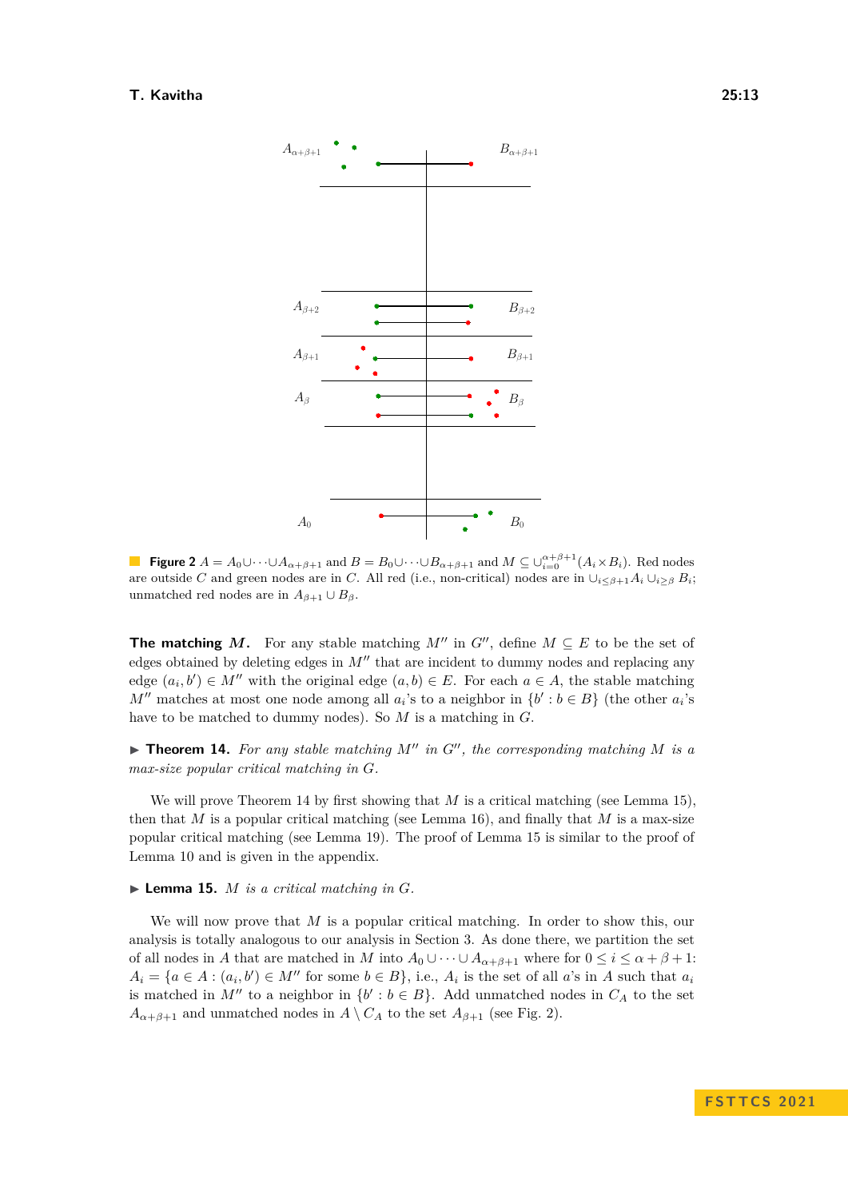<span id="page-12-2"></span>

**Figure 2**  $A = A_0 \cup \cdots \cup A_{\alpha+\beta+1}$  and  $B = B_0 \cup \cdots \cup B_{\alpha+\beta+1}$  and  $M \subseteq \cup_{i=0}^{\alpha+\beta+1} (A_i \times B_i)$ . Red nodes are outside *C* and green nodes are in *C*. All red (i.e., non-critical) nodes are in  $\bigcup_{i\leq \beta+1} A_i \bigcup_{i\geq \beta} B_i$ ; unmatched red nodes are in  $A_{\beta+1} \cup B_{\beta}$ .

**The matching** *M*. For any stable matching  $M''$  in  $G''$ , define  $M \subseteq E$  to be the set of edges obtained by deleting edges in  $M''$  that are incident to dummy nodes and replacing any edge  $(a_i, b') \in M''$  with the original edge  $(a, b) \in E$ . For each  $a \in A$ , the stable matching *M*<sup> $'$ </sup> matches at most one node among all  $a_i$ 's to a neighbor in  $\{b' : b \in B\}$  (the other  $a_i$ 's have to be matched to dummy nodes). So *M* is a matching in *G*.

<span id="page-12-0"></span> $\triangleright$  **Theorem 14.** For any stable matching  $M''$  in  $G''$ , the corresponding matching  $M$  is a *max-size popular critical matching in G.*

We will prove Theorem [14](#page-12-0) by first showing that *M* is a critical matching (see Lemma [15\)](#page-12-1), then that *M* is a popular critical matching (see Lemma [16\)](#page-13-0), and finally that *M* is a max-size popular critical matching (see Lemma [19\)](#page-15-15). The proof of Lemma [15](#page-12-1) is similar to the proof of Lemma [10](#page-8-2) and is given in the appendix.

<span id="page-12-1"></span> $\blacktriangleright$  **Lemma 15.** *M is a critical matching in G.* 

We will now prove that *M* is a popular critical matching. In order to show this, our analysis is totally analogous to our analysis in Section [3.](#page-6-0) As done there, we partition the set of all nodes in *A* that are matched in *M* into  $A_0 \cup \cdots \cup A_{\alpha+\beta+1}$  where for  $0 \le i \le \alpha + \beta + 1$ :  $A_i = \{a \in A : (a_i, b') \in M'' \text{ for some } b \in B\}$ , i.e.,  $A_i$  is the set of all *a*'s in *A* such that  $a_i$ is matched in  $M''$  to a neighbor in  $\{b' : b \in B\}$ . Add unmatched nodes in  $C_A$  to the set  $A_{\alpha+\beta+1}$  and unmatched nodes in  $A \setminus C_A$  to the set  $A_{\beta+1}$  (see Fig. [2\)](#page-12-2).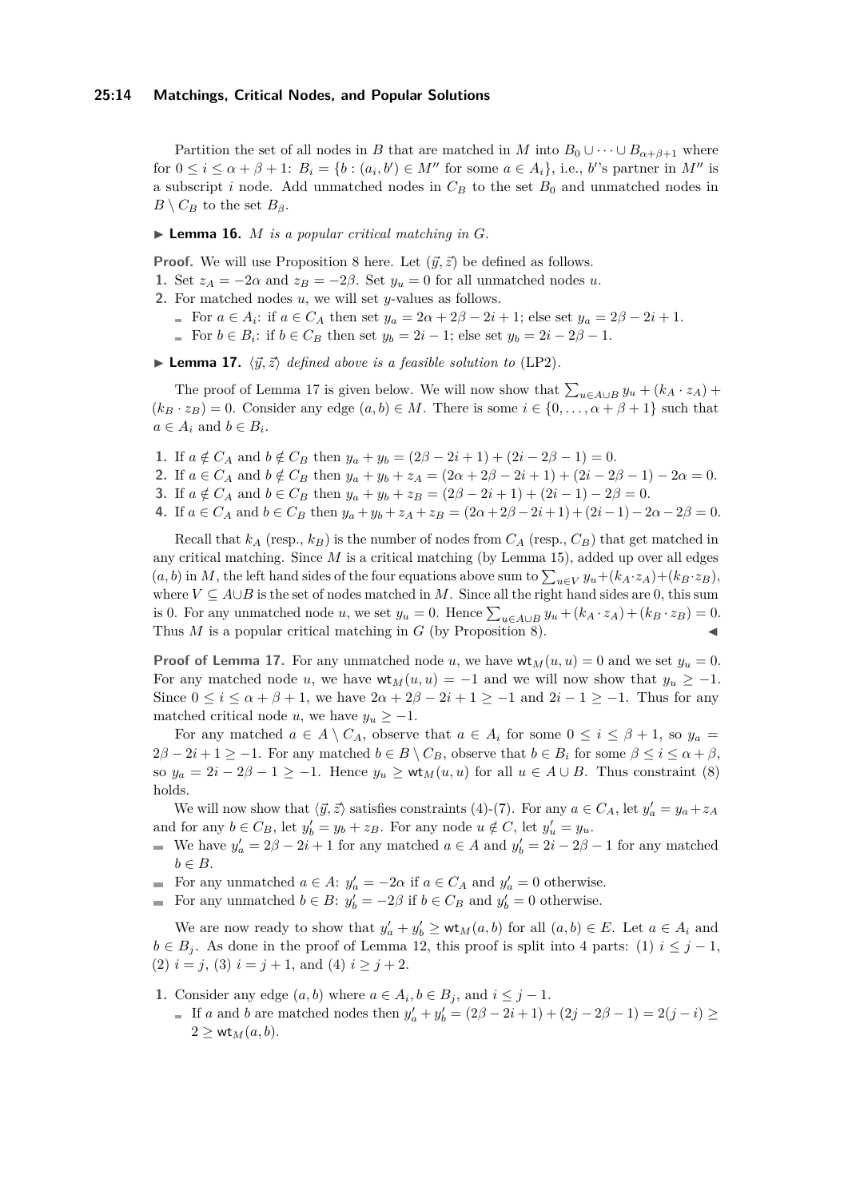#### **25:14 Matchings, Critical Nodes, and Popular Solutions**

Partition the set of all nodes in *B* that are matched in *M* into  $B_0 \cup \cdots \cup B_{\alpha+\beta+1}$  where for  $0 \leq i \leq \alpha + \beta + 1$ :  $B_i = \{b : (a_i, b') \in M'' \text{ for some } a \in A_i\}$ , i.e., *b*''s partner in M'' is a subscript *i* node. Add unmatched nodes in  $C_B$  to the set  $B_0$  and unmatched nodes in  $B \setminus C_B$  to the set  $B_\beta$ .

<span id="page-13-0"></span> $\blacktriangleright$  **Lemma 16.** *M is a popular critical matching in G.* 

**Proof.** We will use Proposition [8](#page-5-3) here. Let  $(\vec{y}, \vec{z})$  be defined as follows.

- **1.** Set  $z_A = -2\alpha$  and  $z_B = -2\beta$ . Set  $y_u = 0$  for all unmatched nodes *u*.
- **2.** For matched nodes *u*, we will set *y*-values as follows.
	- For  $a \in A_i$ : if  $a \in C_A$  then set  $y_a = 2\alpha + 2\beta 2i + 1$ ; else set  $y_a = 2\beta 2i + 1$ .
		- For  $b \in B_i$ : if  $b \in C_B$  then set  $y_b = 2i 1$ ; else set  $y_b = 2i 2\beta 1$ .

<span id="page-13-1"></span> $\blacktriangleright$  **Lemma 17.**  $\langle \vec{y}, \vec{z} \rangle$  *defined above is a feasible solution to* [\(LP2\)](#page-5-2)*.* 

The proof of Lemma [17](#page-13-1) is given below. We will now show that  $\sum_{u \in A \cup B} y_u + (k_A \cdot z_A) +$  $(k_B \cdot z_B) = 0$ . Consider any edge  $(a, b) \in M$ . There is some  $i \in \{0, \ldots, \alpha + \beta + 1\}$  such that  $a \in A_i$  and  $b \in B_i$ .

- **1.** If  $a \notin C_A$  and  $b \notin C_B$  then  $y_a + y_b = (2\beta 2i + 1) + (2i 2\beta 1) = 0$ .
- **2.** If  $a \in C_A$  and  $b \notin C_B$  then  $y_a + y_b + z_A = (2\alpha + 2\beta 2i + 1) + (2i 2\beta 1) 2\alpha = 0$ .
- **3.** If  $a \notin C_A$  and  $b \in C_B$  then  $y_a + y_b + z_B = (2\beta 2i + 1) + (2i 1) 2\beta = 0$ .
- 4. If  $a \in C_A$  and  $b \in C_B$  then  $y_a + y_b + z_A + z_B = (2\alpha + 2\beta 2i + 1) + (2i 1) 2\alpha 2\beta = 0$ .

Recall that  $k_A$  (resp.,  $k_B$ ) is the number of nodes from  $C_A$  (resp.,  $C_B$ ) that get matched in any critical matching. Since *M* is a critical matching (by Lemma [15\)](#page-12-1), added up over all edges  $(a, b)$  in *M*, the left hand sides of the four equations above sum to  $\sum_{u \in V} y_u + (k_A \cdot z_A) + (k_B \cdot z_B)$ , where  $V \subseteq A \cup B$  is the set of nodes matched in *M*. Since all the right hand sides are 0, this sum is 0. For any unmatched node *u*, we set  $y_u = 0$ . Hence  $\sum_{u \in A \cup B} y_u + (k_A \cdot z_A) + (k_B \cdot z_B) = 0$ . Thus  $M$  is a popular critical matching in  $G$  (by Proposition [8\)](#page-5-3).

**Proof of Lemma [17.](#page-13-1)** For any unmatched node *u*, we have  $wt_M(u, u) = 0$  and we set  $y_u = 0$ . For any matched node *u*, we have  $wt_M(u, u) = -1$  and we will now show that  $y_u \ge -1$ . Since  $0 \leq i \leq \alpha + \beta + 1$ , we have  $2\alpha + 2\beta - 2i + 1 \geq -1$  and  $2i - 1 \geq -1$ . Thus for any matched critical node *u*, we have  $y_u \geq -1$ .

For any matched  $a \in A \setminus C_A$ , observe that  $a \in A_i$  for some  $0 \leq i \leq \beta + 1$ , so  $y_a =$  $2\beta - 2i + 1 \geq -1$ . For any matched  $b \in B \setminus C_B$ , observe that  $b \in B_i$  for some  $\beta \leq i \leq \alpha + \beta$ , so  $y_a = 2i - 2\beta - 1 \ge -1$ . Hence  $y_u \ge \text{wt}_M(u, u)$  for all  $u \in A \cup B$ . Thus constraint [\(8\)](#page-5-4) holds.

We will now show that  $\langle \vec{y}, \vec{z} \rangle$  satisfies constraints [\(4\)](#page-5-5)-[\(7\)](#page-5-6). For any  $a \in C_A$ , let  $y'_a = y_a + z_A$ and for any  $b \in C_B$ , let  $y'_b = y_b + z_B$ . For any node  $u \notin C$ , let  $y'_u = y_u$ .

- We have  $y'_a = 2\beta 2i + 1$  for any matched  $a \in A$  and  $y'_b = 2i 2\beta 1$  for any matched  $b \in B$ .
- For any unmatched  $a \in A$ :  $y'_a = -2\alpha$  if  $a \in C_A$  and  $y'_a = 0$  otherwise.
- For any unmatched  $b \in B$ :  $y'_b = -2\beta$  if  $b \in C_B$  and  $y'_b = 0$  otherwise.

We are now ready to show that  $y'_a + y'_b \geq \mathsf{wt}_M(a, b)$  for all  $(a, b) \in E$ . Let  $a \in A_i$  and  $b \in B_i$ . As done in the proof of Lemma [12,](#page-8-3) this proof is split into 4 parts: (1)  $i \leq j - 1$ , (2)  $i = j$ , (3)  $i = j + 1$ , and (4)  $i \geq j + 2$ .

- **1.** Consider any edge  $(a, b)$  where  $a \in A_i, b \in B_j$ , and  $i \leq j 1$ .
	- If *a* and *b* are matched nodes then  $y'_a + y'_b = (2\beta 2i + 1) + (2j 2\beta 1) = 2(j i) \ge$  $2 \geq \mathsf{wt}_M(a, b).$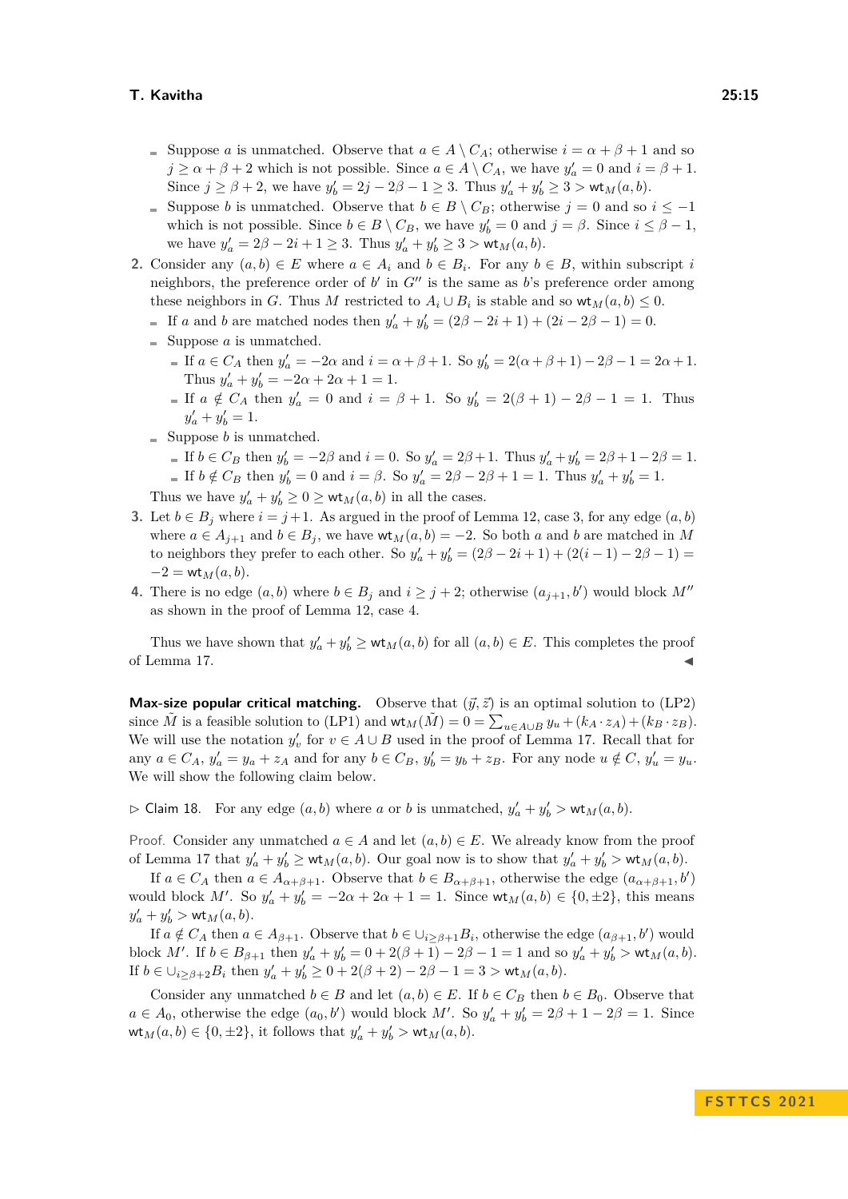- Suppose *a* is unmatched. Observe that  $a \in A \setminus C_A$ ; otherwise  $i = \alpha + \beta + 1$  and so  $j \ge \alpha + \beta + 2$  which is not possible. Since  $a \in A \setminus C_A$ , we have  $y'_a = 0$  and  $i = \beta + 1$ . Since  $j \ge \beta + 2$ , we have  $y'_b = 2j - 2\beta - 1 \ge 3$ . Thus  $y'_a + y'_b \ge 3 > \mathsf{wt}_M(a, b)$ .
- Suppose *b* is unmatched. Observe that  $b \in B \setminus C_B$ ; otherwise  $j = 0$  and so  $i \leq -1$ which is not possible. Since  $b \in B \setminus C_B$ , we have  $y'_b = 0$  and  $j = \beta$ . Since  $i \leq \beta - 1$ , we have  $y'_a = 2\beta - 2i + 1 \ge 3$ . Thus  $y'_a + y'_b \ge 3 > \mathsf{wt}_M(a, b)$ .
- **2.** Consider any  $(a, b) \in E$  where  $a \in A_i$  and  $b \in B_i$ . For any  $b \in B$ , within subscript *i* neighbors, the preference order of  $b'$  in  $G''$  is the same as  $b$ 's preference order among these neighbors in *G*. Thus *M* restricted to  $A_i \cup B_i$  is stable and so  $\mathsf{wt}_M(a, b) \leq 0$ .
	- If *a* and *b* are matched nodes then  $y'_a + y'_b = (2\beta 2i + 1) + (2i 2\beta 1) = 0$ .
	- $\equiv$  Suppose *a* is unmatched.
		- If  $a \in C_A$  then  $y'_a = -2\alpha$  and  $i = \alpha + \beta + 1$ . So  $y'_b = 2(\alpha + \beta + 1) 2\beta 1 = 2\alpha + 1$ . Thus  $y'_a + y'_b = -2\alpha + 2\alpha + 1 = 1$ .
		- If  $a \notin C_A$  then  $y'_a = 0$  and  $i = \beta + 1$ . So  $y'_b = 2(\beta + 1) 2\beta 1 = 1$ . Thus  $y'_a + y'_b = 1.$
	- $\equiv$  Suppose *b* is unmatched.
		- If  $b \in C_B$  then  $y'_b = -2\beta$  and  $i = 0$ . So  $y'_a = 2\beta + 1$ . Thus  $y'_a + y'_b = 2\beta + 1 2\beta = 1$ .
		- If  $b \notin C_B$  then  $y'_b = 0$  and  $i = \beta$ . So  $y'_a = 2\beta 2\beta + 1 = 1$ . Thus  $y'_a + y'_b = 1$ .

Thus we have  $y'_a + y'_b \ge 0 \ge \text{wt}_M(a, b)$  in all the cases.

- **3.** Let  $b \in B_j$  where  $i = j + 1$ . As argued in the proof of Lemma [12,](#page-8-3) case 3, for any edge  $(a, b)$ where  $a \in A_{j+1}$  and  $b \in B_j$ , we have  $\mathsf{wt}_M(a, b) = -2$ . So both *a* and *b* are matched in *M* to neighbors they prefer to each other. So  $y'_a + y'_b = (2\beta - 2i + 1) + (2(i - 1) - 2\beta - 1) =$  $-2 = wt_M(a, b).$
- **4.** There is no edge  $(a, b)$  where  $b \in B_j$  and  $i \geq j + 2$ ; otherwise  $(a_{j+1}, b')$  would block  $M''$ as shown in the proof of Lemma [12,](#page-8-3) case 4.

Thus we have shown that  $y'_a + y'_b \geq \mathsf{wt}_M(a, b)$  for all  $(a, b) \in E$ . This completes the proof of Lemma [17.](#page-13-1)

**Max-size popular critical matching.** Observe that  $(\vec{y}, \vec{z})$  is an optimal solution to [\(LP2\)](#page-5-2) since  $\tilde{M}$  is a feasible solution to [\(LP1\)](#page-5-0) and  $\mathsf{wt}_M(\tilde{M}) = 0 = \sum_{u \in A \cup B} y_u + (k_A \cdot z_A) + (k_B \cdot z_B)$ . We will use the notation  $y'_v$  for  $v \in A \cup B$  used in the proof of Lemma [17.](#page-13-1) Recall that for any  $a \in C_A$ ,  $y'_a = y_a + z_A$  and for any  $b \in C_B$ ,  $y'_b = y_b + z_B$ . For any node  $u \notin C$ ,  $y'_u = y_u$ . We will show the following claim below.

<span id="page-14-0"></span> $\triangleright$  Claim 18. For any edge  $(a, b)$  where *a* or *b* is unmatched,  $y'_a + y'_b > \mathsf{wt}_M(a, b)$ .

Proof. Consider any unmatched  $a \in A$  and let  $(a, b) \in E$ . We already know from the proof of Lemma [17](#page-13-1) that  $y'_a + y'_b \geq \text{wt}_M(a, b)$ . Our goal now is to show that  $y'_a + y'_b > \text{wt}_M(a, b)$ .

If  $a \in C_A$  then  $a \in A_{\alpha+\beta+1}$ . Observe that  $b \in B_{\alpha+\beta+1}$ , otherwise the edge  $(a_{\alpha+\beta+1}, b')$ would block *M'*. So  $y'_a + y'_b = -2\alpha + 2\alpha + 1 = 1$ . Since  $\mathsf{wt}_M(a, b) \in \{0, \pm 2\}$ , this means  $y'_a + y'_b > \mathsf{wt}_M(a, b).$ 

If  $a \notin C_A$  then  $a \in A_{\beta+1}$ . Observe that  $b \in \bigcup_{i \geq \beta+1} B_i$ , otherwise the edge  $(a_{\beta+1}, b')$  would block *M'*. If  $b \in B_{\beta+1}$  then  $y'_a + y'_b = 0 + 2(\beta+1) - 2\beta - 1 = 1$  and so  $y'_a + y'_b > \text{wt}_M(a, b)$ . If  $b \in \bigcup_{i \geq \beta+2} B_i$  then  $y'_a + y'_b \geq 0 + 2(\beta + 2) - 2\beta - 1 = 3 > \mathsf{wt}_M(a, b)$ .

Consider any unmatched  $b \in B$  and let  $(a, b) \in E$ . If  $b \in C_B$  then  $b \in B_0$ . Observe that  $a \in A_0$ , otherwise the edge  $(a_0, b')$  would block *M'*. So  $y'_a + y'_b = 2\beta + 1 - 2\beta = 1$ . Since  $\mathsf{wt}_M(a, b) \in \{0, \pm 2\}$ , it follows that  $y'_a + y'_b > \mathsf{wt}_M(a, b)$ .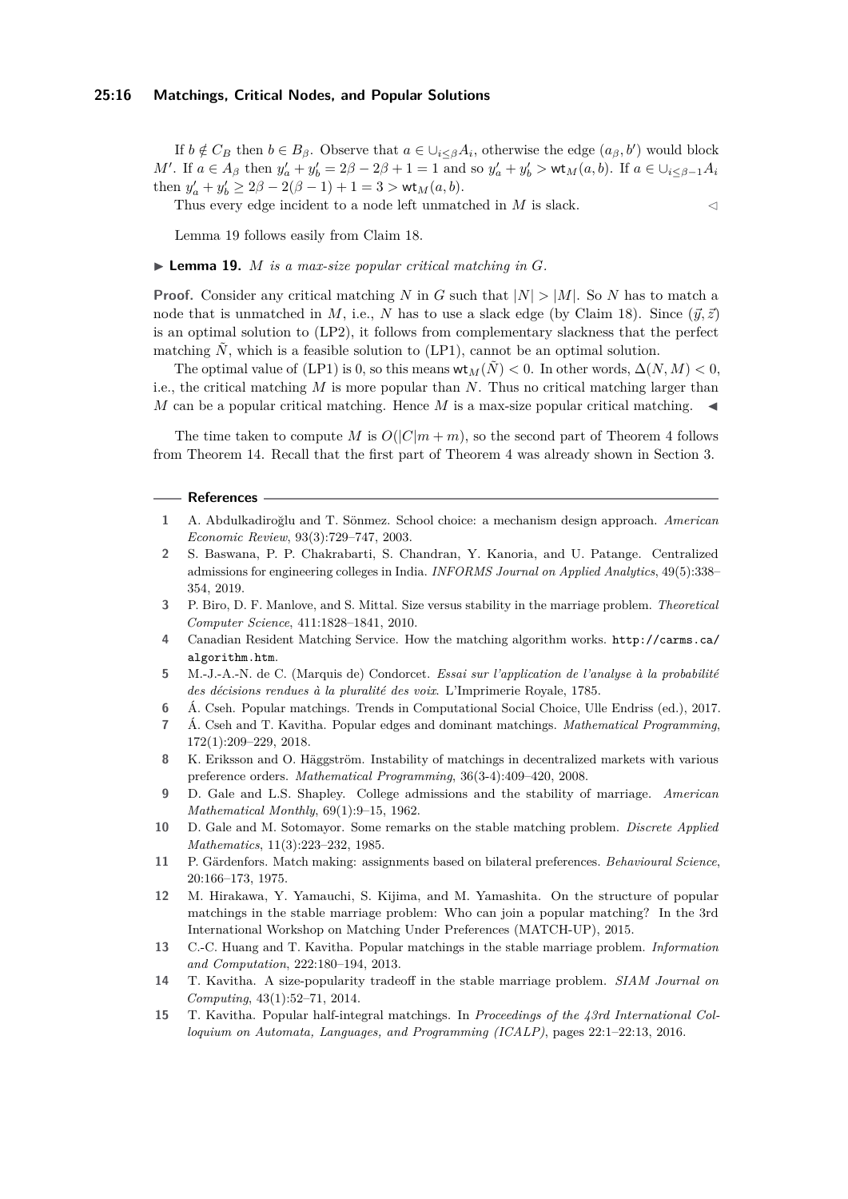#### **25:16 Matchings, Critical Nodes, and Popular Solutions**

If  $b \notin C_B$  then  $b \in B_\beta$ . Observe that  $a \in \bigcup_{i \leq \beta} A_i$ , otherwise the edge  $(a_\beta, b')$  would block M'. If  $a \in A_{\beta}$  then  $y'_a + y'_b = 2\beta - 2\beta + 1 = 1$  and so  $y'_a + y'_b > \text{wt}_M(a, b)$ . If  $a \in \bigcup_{i \leq \beta-1} A_i$ then  $y'_a + y'_b \ge 2\beta - 2(\beta - 1) + 1 = 3 > \text{wt}_M(a, b).$ 

Thus every edge incident to a node left unmatched in  $M$  is slack.  $\lhd$ 

Lemma [19](#page-15-15) follows easily from Claim [18.](#page-14-0)

#### <span id="page-15-15"></span> $\blacktriangleright$  **Lemma 19.** *M is a max-size popular critical matching in G.*

**Proof.** Consider any critical matching *N* in *G* such that  $|N| > |M|$ . So *N* has to match a node that is unmatched in *M*, i.e., *N* has to use a slack edge (by Claim [18\)](#page-14-0). Since  $(\vec{y}, \vec{z})$ is an optimal solution to [\(LP2\)](#page-5-2), it follows from complementary slackness that the perfect matching  $\tilde{N}$ , which is a feasible solution to [\(LP1\)](#page-5-0), cannot be an optimal solution.

The optimal value of [\(LP1\)](#page-5-0) is 0, so this means  $\mathsf{wt}_M(\tilde{N}) < 0$ . In other words,  $\Delta(N, M) < 0$ , i.e., the critical matching *M* is more popular than *N*. Thus no critical matching larger than  $M$  can be a popular critical matching. Hence  $M$  is a max-size popular critical matching.

The time taken to compute *M* is  $O(|C|m + m)$ , so the second part of Theorem [4](#page-2-0) follows from Theorem [14.](#page-12-0) Recall that the first part of Theorem [4](#page-2-0) was already shown in Section [3.](#page-6-0)

#### **References**

- <span id="page-15-1"></span>**1** A. Abdulkadiroğlu and T. Sönmez. School choice: a mechanism design approach. *American Economic Review*, 93(3):729–747, 2003.
- <span id="page-15-2"></span>**2** S. Baswana, P. P. Chakrabarti, S. Chandran, Y. Kanoria, and U. Patange. Centralized admissions for engineering colleges in India. *INFORMS Journal on Applied Analytics*, 49(5):338– 354, 2019.
- <span id="page-15-5"></span>**3** P. Biro, D. F. Manlove, and S. Mittal. Size versus stability in the marriage problem. *Theoretical Computer Science*, 411:1828–1841, 2010.
- <span id="page-15-3"></span>**4** Canadian Resident Matching Service. How the matching algorithm works. [http://carms.ca/](http://carms.ca/algorithm.htm) [algorithm.htm](http://carms.ca/algorithm.htm).
- <span id="page-15-9"></span>**5** M.-J.-A.-N. de C. (Marquis de) Condorcet. *Essai sur l'application de l'analyse à la probabilité des décisions rendues à la pluralité des voix*. L'Imprimerie Royale, 1785.
- <span id="page-15-10"></span>**6** Á. Cseh. Popular matchings. Trends in Computational Social Choice, Ulle Endriss (ed.), 2017.
- <span id="page-15-13"></span>**7** Á. Cseh and T. Kavitha. Popular edges and dominant matchings. *Mathematical Programming*, 172(1):209–229, 2018.
- <span id="page-15-12"></span>**8** K. Eriksson and O. Häggström. Instability of matchings in decentralized markets with various preference orders. *Mathematical Programming*, 36(3-4):409–420, 2008.
- <span id="page-15-0"></span>**9** D. Gale and L.S. Shapley. College admissions and the stability of marriage. *American Mathematical Monthly*, 69(1):9–15, 1962.
- <span id="page-15-4"></span>**10** D. Gale and M. Sotomayor. Some remarks on the stable matching problem. *Discrete Applied Mathematics*, 11(3):223–232, 1985.
- <span id="page-15-6"></span>**11** P. Gärdenfors. Match making: assignments based on bilateral preferences. *Behavioural Science*, 20:166–173, 1975.
- <span id="page-15-7"></span>**12** M. Hirakawa, Y. Yamauchi, S. Kijima, and M. Yamashita. On the structure of popular matchings in the stable marriage problem: Who can join a popular matching? In the 3rd International Workshop on Matching Under Preferences (MATCH-UP), 2015.
- <span id="page-15-11"></span>**13** C.-C. Huang and T. Kavitha. Popular matchings in the stable marriage problem. *Information and Computation*, 222:180–194, 2013.
- <span id="page-15-8"></span>**14** T. Kavitha. A size-popularity tradeoff in the stable marriage problem. *SIAM Journal on Computing*, 43(1):52–71, 2014.
- <span id="page-15-14"></span>**15** T. Kavitha. Popular half-integral matchings. In *Proceedings of the 43rd International Colloquium on Automata, Languages, and Programming (ICALP)*, pages 22:1–22:13, 2016.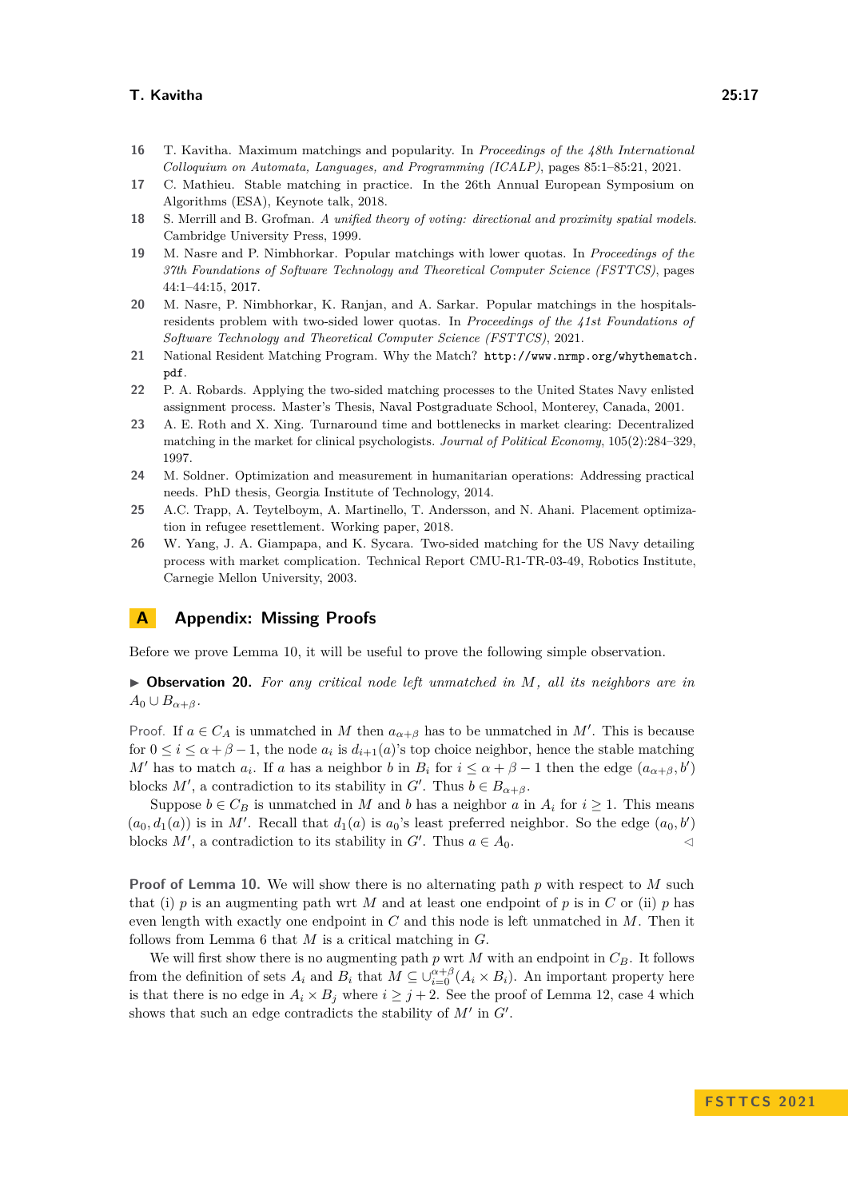- <span id="page-16-10"></span>**16** T. Kavitha. Maximum matchings and popularity. In *Proceedings of the 48th International Colloquium on Automata, Languages, and Programming (ICALP)*, pages 85:1–85:21, 2021.
- <span id="page-16-0"></span>**17** C. Mathieu. Stable matching in practice. In the 26th Annual European Symposium on Algorithms (ESA), Keynote talk, 2018.
- <span id="page-16-6"></span>**18** S. Merrill and B. Grofman. *A unified theory of voting: directional and proximity spatial models*. Cambridge University Press, 1999.
- <span id="page-16-7"></span>**19** M. Nasre and P. Nimbhorkar. Popular matchings with lower quotas. In *Proceedings of the 37th Foundations of Software Technology and Theoretical Computer Science (FSTTCS)*, pages 44:1–44:15, 2017.
- <span id="page-16-8"></span>**20** M. Nasre, P. Nimbhorkar, K. Ranjan, and A. Sarkar. Popular matchings in the hospitalsresidents problem with two-sided lower quotas. In *Proceedings of the 41st Foundations of Software Technology and Theoretical Computer Science (FSTTCS)*, 2021.
- <span id="page-16-1"></span>**21** National Resident Matching Program. Why the Match? [http://www.nrmp.org/whythematch.](http://www.nrmp.org/whythematch.pdf) [pdf](http://www.nrmp.org/whythematch.pdf).
- <span id="page-16-2"></span>**22** P. A. Robards. Applying the two-sided matching processes to the United States Navy enlisted assignment process. Master's Thesis, Naval Postgraduate School, Monterey, Canada, 2001.
- <span id="page-16-9"></span>**23** A. E. Roth and X. Xing. Turnaround time and bottlenecks in market clearing: Decentralized matching in the market for clinical psychologists. *Journal of Political Economy*, 105(2):284–329, 1997.
- <span id="page-16-4"></span>**24** M. Soldner. Optimization and measurement in humanitarian operations: Addressing practical needs. PhD thesis, Georgia Institute of Technology, 2014.
- <span id="page-16-5"></span>**25** A.C. Trapp, A. Teytelboym, A. Martinello, T. Andersson, and N. Ahani. Placement optimization in refugee resettlement. Working paper, 2018.
- <span id="page-16-3"></span>**26** W. Yang, J. A. Giampapa, and K. Sycara. Two-sided matching for the US Navy detailing process with market complication. Technical Report CMU-R1-TR-03-49, Robotics Institute, Carnegie Mellon University, 2003.

## **A Appendix: Missing Proofs**

<span id="page-16-11"></span>Before we prove Lemma [10,](#page-8-2) it will be useful to prove the following simple observation.

▶ **Observation 20.** *For any critical node left unmatched in M, all its neighbors are in*  $A_0 \cup B_{\alpha+\beta}$ *.* 

Proof. If  $a \in C_A$  is unmatched in M then  $a_{\alpha+\beta}$  has to be unmatched in M'. This is because for  $0 \leq i \leq \alpha + \beta - 1$ , the node  $a_i$  is  $d_{i+1}(a)$ 's top choice neighbor, hence the stable matching *M*<sup>'</sup> has to match  $a_i$ . If *a* has a neighbor *b* in  $B_i$  for  $i \leq \alpha + \beta - 1$  then the edge  $(a_{\alpha+\beta}, b')$ blocks *M'*, a contradiction to its stability in *G'*. Thus  $b \in B_{\alpha+\beta}$ .

Suppose  $b \in C_B$  is unmatched in *M* and *b* has a neighbor *a* in  $A_i$  for  $i \geq 1$ . This means  $(a_0, d_1(a))$  is in M'. Recall that  $d_1(a)$  is  $a_0$ 's least preferred neighbor. So the edge  $(a_0, b')$ blocks  $M'$ , a contradiction to its stability in  $G'$ . Thus  $a \in A_0$ .

**Proof of Lemma [10.](#page-8-2)** We will show there is no alternating path p with respect to M such that (i) *p* is an augmenting path wrt *M* and at least one endpoint of *p* is in *C* or (ii) *p* has even length with exactly one endpoint in *C* and this node is left unmatched in *M*. Then it follows from Lemma [6](#page-4-1) that *M* is a critical matching in *G*.

We will first show there is no augmenting path  $p$  wrt  $M$  with an endpoint in  $C_B$ . It follows from the definition of sets  $A_i$  and  $B_i$  that  $M \subseteq \bigcup_{i=0}^{\alpha+\beta} (A_i \times B_i)$ . An important property here is that there is no edge in  $A_i \times B_j$  where  $i \geq j+2$ . See the proof of Lemma [12,](#page-8-3) case 4 which shows that such an edge contradicts the stability of *M*′ in *G*′ .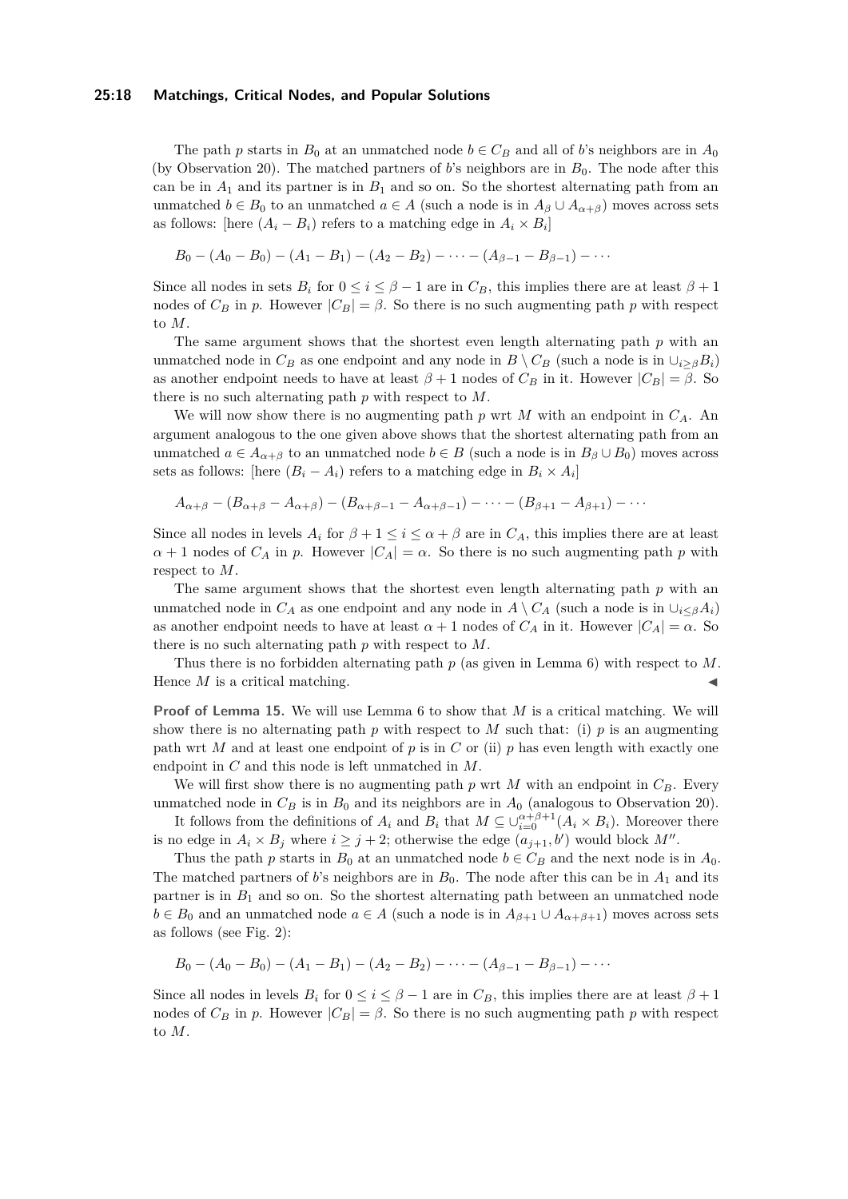#### **25:18 Matchings, Critical Nodes, and Popular Solutions**

The path *p* starts in  $B_0$  at an unmatched node  $b \in C_B$  and all of *b*'s neighbors are in  $A_0$ (by Observation [20\)](#page-16-11). The matched partners of *b*'s neighbors are in  $B_0$ . The node after this can be in  $A_1$  and its partner is in  $B_1$  and so on. So the shortest alternating path from an unmatched  $b \in B_0$  to an unmatched  $a \in A$  (such a node is in  $A_\beta \cup A_{\alpha+\beta}$ ) moves across sets as follows: [here  $(A_i - B_i)$  refers to a matching edge in  $A_i \times B_i$ ]

$$
B_0 - (A_0 - B_0) - (A_1 - B_1) - (A_2 - B_2) - \cdots - (A_{\beta-1} - B_{\beta-1}) - \cdots
$$

Since all nodes in sets  $B_i$  for  $0 \le i \le \beta - 1$  are in  $C_B$ , this implies there are at least  $\beta + 1$ nodes of  $C_B$  in *p*. However  $|C_B| = \beta$ . So there is no such augmenting path *p* with respect to *M*.

The same argument shows that the shortest even length alternating path *p* with an unmatched node in  $C_B$  as one endpoint and any node in  $B \setminus C_B$  (such a node is in  $\cup_{i \geq \beta} B_i$ ) as another endpoint needs to have at least  $\beta + 1$  nodes of  $C_B$  in it. However  $|C_B| = \beta$ . So there is no such alternating path *p* with respect to *M*.

We will now show there is no augmenting path *p* wrt *M* with an endpoint in *CA*. An argument analogous to the one given above shows that the shortest alternating path from an unmatched  $a \in A_{\alpha+\beta}$  to an unmatched node  $b \in B$  (such a node is in  $B_{\beta} \cup B_0$ ) moves across sets as follows: [here  $(B_i - A_i)$  refers to a matching edge in  $B_i \times A_i$ ]

$$
A_{\alpha+\beta}-(B_{\alpha+\beta}-A_{\alpha+\beta})-(B_{\alpha+\beta-1}-A_{\alpha+\beta-1})-\cdots-(B_{\beta+1}-A_{\beta+1})-\cdots
$$

Since all nodes in levels  $A_i$  for  $\beta + 1 \leq i \leq \alpha + \beta$  are in  $C_A$ , this implies there are at least  $\alpha + 1$  nodes of  $C_A$  in *p*. However  $|C_A| = \alpha$ . So there is no such augmenting path *p* with respect to *M*.

The same argument shows that the shortest even length alternating path *p* with an unmatched node in  $C_A$  as one endpoint and any node in  $A \setminus C_A$  (such a node is in  $\cup_{i \leq \beta} A_i$ ) as another endpoint needs to have at least  $\alpha + 1$  nodes of  $C_A$  in it. However  $|C_A| = \alpha$ . So there is no such alternating path *p* with respect to *M*.

Thus there is no forbidden alternating path *p* (as given in Lemma [6\)](#page-4-1) with respect to *M*. Hence  $M$  is a critical matching.

**Proof of Lemma [15.](#page-12-1)** We will use Lemma [6](#page-4-1) to show that *M* is a critical matching. We will show there is no alternating path  $p$  with respect to  $M$  such that: (i)  $p$  is an augmenting path wrt *M* and at least one endpoint of *p* is in *C* or (ii) *p* has even length with exactly one endpoint in *C* and this node is left unmatched in *M*.

We will first show there is no augmenting path  $p$  wrt  $M$  with an endpoint in  $C_B$ . Every unmatched node in  $C_B$  is in  $B_0$  and its neighbors are in  $A_0$  (analogous to Observation [20\)](#page-16-11).

It follows from the definitions of  $A_i$  and  $B_i$  that  $M \subseteq \bigcup_{i=0}^{\alpha+\beta+1} (A_i \times B_i)$ . Moreover there is no edge in  $A_i \times B_j$  where  $i \geq j+2$ ; otherwise the edge  $(a_{j+1}, b')$  would block  $M''$ .

Thus the path *p* starts in  $B_0$  at an unmatched node  $b \in C_B$  and the next node is in  $A_0$ . The matched partners of *b*'s neighbors are in  $B_0$ . The node after this can be in  $A_1$  and its partner is in  $B_1$  and so on. So the shortest alternating path between an unmatched node *b* ∈ *B*<sub>0</sub> and an unmatched node *a* ∈ *A* (such a node is in  $A_{\beta+1} \cup A_{\alpha+\beta+1}$ ) moves across sets as follows (see Fig. [2\)](#page-12-2):

$$
B_0 - (A_0 - B_0) - (A_1 - B_1) - (A_2 - B_2) - \cdots - (A_{\beta-1} - B_{\beta-1}) - \cdots
$$

Since all nodes in levels  $B_i$  for  $0 \le i \le \beta - 1$  are in  $C_B$ , this implies there are at least  $\beta + 1$ nodes of  $C_B$  in *p*. However  $|C_B| = \beta$ . So there is no such augmenting path *p* with respect to *M*.